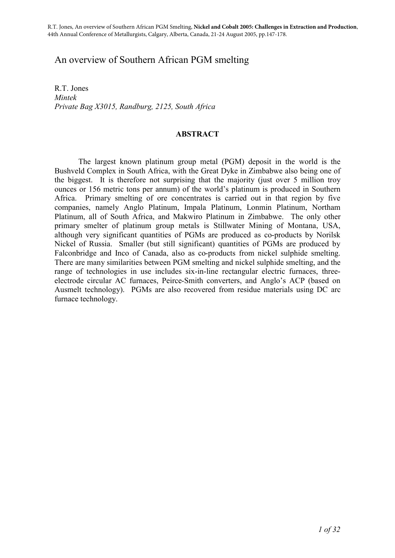# An overview of Southern African PGM smelting

R.T. Jones *Mintek Private Bag X3015, Randburg, 2125, South Africa* 

# **ABSTRACT**

The largest known platinum group metal (PGM) deposit in the world is the Bushveld Complex in South Africa, with the Great Dyke in Zimbabwe also being one of the biggest. It is therefore not surprising that the majority (just over 5 million troy ounces or 156 metric tons per annum) of the world's platinum is produced in Southern Africa. Primary smelting of ore concentrates is carried out in that region by five companies, namely Anglo Platinum, Impala Platinum, Lonmin Platinum, Northam Platinum, all of South Africa, and Makwiro Platinum in Zimbabwe. The only other primary smelter of platinum group metals is Stillwater Mining of Montana, USA, although very significant quantities of PGMs are produced as co-products by Norilsk Nickel of Russia. Smaller (but still significant) quantities of PGMs are produced by Falconbridge and Inco of Canada, also as co-products from nickel sulphide smelting. There are many similarities between PGM smelting and nickel sulphide smelting, and the range of technologies in use includes six-in-line rectangular electric furnaces, threeelectrode circular AC furnaces, Peirce-Smith converters, and Anglo's ACP (based on Ausmelt technology). PGMs are also recovered from residue materials using DC arc furnace technology.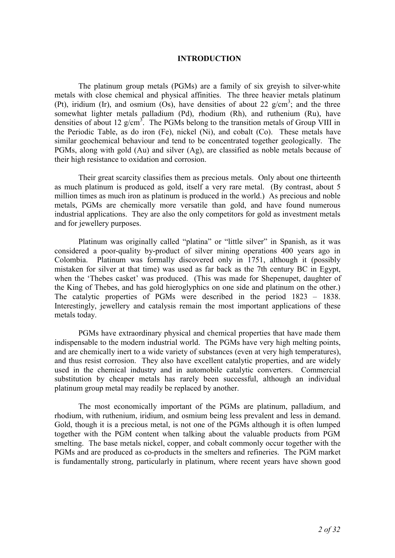#### **INTRODUCTION**

The platinum group metals (PGMs) are a family of six greyish to silver-white metals with close chemical and physical affinities. The three heavier metals platinum (Pt), iridium (Ir), and osmium (Os), have densities of about 22  $g/cm^3$ ; and the three somewhat lighter metals palladium (Pd), rhodium (Rh), and ruthenium (Ru), have densities of about 12  $g/cm^3$ . The PGMs belong to the transition metals of Group VIII in the Periodic Table, as do iron (Fe), nickel (Ni), and cobalt (Co). These metals have similar geochemical behaviour and tend to be concentrated together geologically. The PGMs, along with gold (Au) and silver (Ag), are classified as noble metals because of their high resistance to oxidation and corrosion.

Their great scarcity classifies them as precious metals. Only about one thirteenth as much platinum is produced as gold, itself a very rare metal. (By contrast, about 5 million times as much iron as platinum is produced in the world.) As precious and noble metals, PGMs are chemically more versatile than gold, and have found numerous industrial applications. They are also the only competitors for gold as investment metals and for jewellery purposes.

Platinum was originally called "platina" or "little silver" in Spanish, as it was considered a poor-quality by-product of silver mining operations 400 years ago in Colombia. Platinum was formally discovered only in 1751, although it (possibly mistaken for silver at that time) was used as far back as the 7th century BC in Egypt, when the 'Thebes casket' was produced. (This was made for Shepenupet, daughter of the King of Thebes, and has gold hieroglyphics on one side and platinum on the other.) The catalytic properties of PGMs were described in the period 1823 – 1838. Interestingly, jewellery and catalysis remain the most important applications of these metals today.

PGMs have extraordinary physical and chemical properties that have made them indispensable to the modern industrial world. The PGMs have very high melting points, and are chemically inert to a wide variety of substances (even at very high temperatures), and thus resist corrosion. They also have excellent catalytic properties, and are widely used in the chemical industry and in automobile catalytic converters. Commercial substitution by cheaper metals has rarely been successful, although an individual platinum group metal may readily be replaced by another.

The most economically important of the PGMs are platinum, palladium, and rhodium, with ruthenium, iridium, and osmium being less prevalent and less in demand. Gold, though it is a precious metal, is not one of the PGMs although it is often lumped together with the PGM content when talking about the valuable products from PGM smelting. The base metals nickel, copper, and cobalt commonly occur together with the PGMs and are produced as co-products in the smelters and refineries. The PGM market is fundamentally strong, particularly in platinum, where recent years have shown good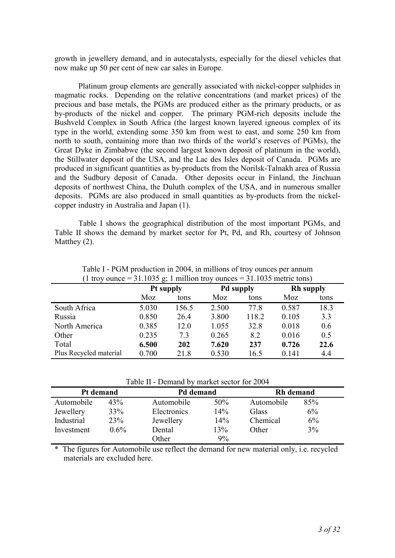growth in jewellery demand, and in autocatalysts, especially for the diesel vehicles that now make up 50 per cent of new car sales in Europe.

Platinum group elements are generally associated with nickel-copper sulphides in magmatic rocks. Depending on the relative concentrations (and market prices) of the precious and base metals, the PGMs are produced either as the primary products, or as by-products of the nickel and copper. The primary PGM-rich deposits include the Bushveld Complex in South Africa (the largest known layered igneous complex of its type in the world, extending some 350 km from west to east, and some 250 km from north to south, containing more than two thirds of the world's reserves of PGMs), the Great Dyke in Zimbabwe (the second largest known deposit of platinum in the world), the Stillwater deposit of the USA, and the Lac des Isles deposit of Canada. PGMs are produced in significant quantities as by-products from the Norilsk-Talnakh area of Russia and the Sudbury deposit of Canada. Other deposits occur in Finland, the Jinchuan deposits of northwest China, the Duluth complex of the USA, and in numerous smaller deposits. PGMs are also produced in small quantities as by-products from the nickelcopper industry in Australia and Japan (1).

Table I shows the geographical distribution of the most important PGMs, and Table II shows the demand by market sector for Pt, Pd, and Rh, courtesy of Johnson Matthey  $(2)$ .

| $   \prime$            | 0         |       |                  |       |                  |      |
|------------------------|-----------|-------|------------------|-------|------------------|------|
|                        | Pt supply |       | <b>Pd supply</b> |       | <b>Rh</b> supply |      |
|                        | Moz       | tons  | Moz              | tons  | Moz              | tons |
| South Africa           | 5.030     | 156.5 | 2.500            | 77.8  | 0.587            | 18.3 |
| Russia                 | 0.850     | 26.4  | 3.800            | 118.2 | 0.105            | 3.3  |
| North America          | 0.385     | 12.0  | 1.055            | 32.8  | 0.018            | 0.6  |
| Other                  | 0.235     | 7.3   | 0.265            | 8.2   | 0.016            | 0.5  |
| Total                  | 6.500     | 202   | 7.620            | 237   | 0.726            | 22.6 |
| Plus Recycled material | 0.700     | 21.8  | 0.530            | 16.5  | 0.141            | 4.4  |

Table I - PGM production in 2004, in millions of troy ounces per annum (1 troy ounce = 31.1035 g; 1 million troy ounces = 31.1035 metric tons)

Table II - Demand by market sector for 2004

| Pt demand  |         |             | Pd demand |            | <b>Rh</b> demand |  |
|------------|---------|-------------|-----------|------------|------------------|--|
| Automobile | 43%     | Automobile  | 50%       | Automobile | 85%              |  |
| Jewellery  | 33%     | Electronics | 14%       | Glass      | 6%               |  |
| Industrial | 23%     | Jewellery   | 14%       | Chemical   | 6%               |  |
| Investment | $0.6\%$ | Dental      | 13%       | Other      | $3\%$            |  |
|            |         | Other       | 9%        |            |                  |  |

\* The figures for Automobile use reflect the demand for new material only, i.e. recycled materials are excluded here.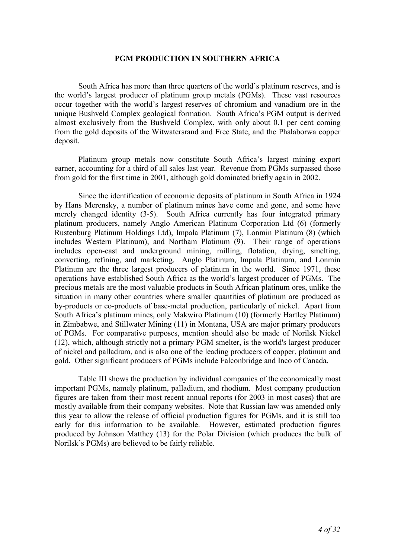#### **PGM PRODUCTION IN SOUTHERN AFRICA**

South Africa has more than three quarters of the world's platinum reserves, and is the world's largest producer of platinum group metals (PGMs). These vast resources occur together with the world's largest reserves of chromium and vanadium ore in the unique Bushveld Complex geological formation. South Africa's PGM output is derived almost exclusively from the Bushveld Complex, with only about 0.1 per cent coming from the gold deposits of the Witwatersrand and Free State, and the Phalaborwa copper deposit.

Platinum group metals now constitute South Africa's largest mining export earner, accounting for a third of all sales last year. Revenue from PGMs surpassed those from gold for the first time in 2001, although gold dominated briefly again in 2002.

Since the identification of economic deposits of platinum in South Africa in 1924 by Hans Merensky, a number of platinum mines have come and gone, and some have merely changed identity (3-5). South Africa currently has four integrated primary platinum producers, namely Anglo American Platinum Corporation Ltd (6) (formerly Rustenburg Platinum Holdings Ltd), Impala Platinum (7), Lonmin Platinum (8) (which includes Western Platinum), and Northam Platinum (9). Their range of operations includes open-cast and underground mining, milling, flotation, drying, smelting, converting, refining, and marketing. Anglo Platinum, Impala Platinum, and Lonmin Platinum are the three largest producers of platinum in the world. Since 1971, these operations have established South Africa as the world's largest producer of PGMs. The precious metals are the most valuable products in South African platinum ores, unlike the situation in many other countries where smaller quantities of platinum are produced as by-products or co-products of base-metal production, particularly of nickel. Apart from South Africa's platinum mines, only Makwiro Platinum (10) (formerly Hartley Platinum) in Zimbabwe, and Stillwater Mining (11) in Montana, USA are major primary producers of PGMs. For comparative purposes, mention should also be made of Norilsk Nickel (12), which, although strictly not a primary PGM smelter, is the world's largest producer of nickel and palladium, and is also one of the leading producers of copper, platinum and gold. Other significant producers of PGMs include Falconbridge and Inco of Canada.

Table III shows the production by individual companies of the economically most important PGMs, namely platinum, palladium, and rhodium. Most company production figures are taken from their most recent annual reports (for 2003 in most cases) that are mostly available from their company websites. Note that Russian law was amended only this year to allow the release of official production figures for PGMs, and it is still too early for this information to be available. However, estimated production figures produced by Johnson Matthey (13) for the Polar Division (which produces the bulk of Norilsk's PGMs) are believed to be fairly reliable.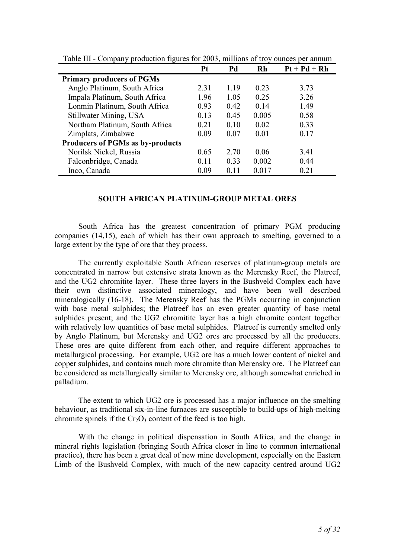|                                         | Pt   | Pd   | Rh    | $Pt + Pd + Rh$ |
|-----------------------------------------|------|------|-------|----------------|
| <b>Primary producers of PGMs</b>        |      |      |       |                |
| Anglo Platinum, South Africa            | 2.31 | 119  | 0.23  | 3.73           |
| Impala Platinum, South Africa           | 1.96 | 1.05 | 0.25  | 3.26           |
| Lonmin Platinum, South Africa           | 0.93 | 0.42 | 0.14  | 1.49           |
| Stillwater Mining, USA                  | 0.13 | 0.45 | 0.005 | 0.58           |
| Northam Platinum, South Africa          | 0.21 | 0.10 | 0.02  | 0.33           |
| Zimplats, Zimbabwe                      | 0.09 | 0.07 | 0.01  | 0.17           |
| <b>Producers of PGMs as by-products</b> |      |      |       |                |
| Norilsk Nickel, Russia                  | 0.65 | 2.70 | 0.06  | 3.41           |
| Falconbridge, Canada                    | 0.11 | 0.33 | 0.002 | 0.44           |
| Inco, Canada                            | 0.09 | 0.11 | 0.017 | 0.21           |

Table III - Company production figures for 2003, millions of troy ounces per annum

## **SOUTH AFRICAN PLATINUM-GROUP METAL ORES**

South Africa has the greatest concentration of primary PGM producing companies (14,15), each of which has their own approach to smelting, governed to a large extent by the type of ore that they process.

The currently exploitable South African reserves of platinum-group metals are concentrated in narrow but extensive strata known as the Merensky Reef, the Platreef, and the UG2 chromitite layer. These three layers in the Bushveld Complex each have their own distinctive associated mineralogy, and have been well described mineralogically (16-18). The Merensky Reef has the PGMs occurring in conjunction with base metal sulphides; the Platreef has an even greater quantity of base metal sulphides present; and the UG2 chromitite layer has a high chromite content together with relatively low quantities of base metal sulphides. Platreef is currently smelted only by Anglo Platinum, but Merensky and UG2 ores are processed by all the producers. These ores are quite different from each other, and require different approaches to metallurgical processing. For example, UG2 ore has a much lower content of nickel and copper sulphides, and contains much more chromite than Merensky ore. The Platreef can be considered as metallurgically similar to Merensky ore, although somewhat enriched in palladium.

The extent to which UG2 ore is processed has a major influence on the smelting behaviour, as traditional six-in-line furnaces are susceptible to build-ups of high-melting chromite spinels if the  $Cr_2O_3$  content of the feed is too high.

With the change in political dispensation in South Africa, and the change in mineral rights legislation (bringing South Africa closer in line to common international practice), there has been a great deal of new mine development, especially on the Eastern Limb of the Bushveld Complex, with much of the new capacity centred around UG2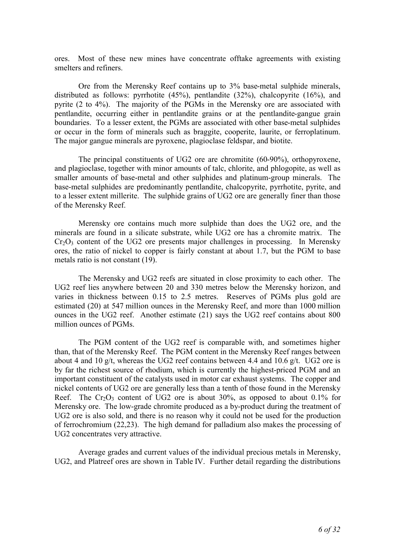ores. Most of these new mines have concentrate offtake agreements with existing smelters and refiners.

Ore from the Merensky Reef contains up to 3% base-metal sulphide minerals, distributed as follows: pyrrhotite (45%), pentlandite (32%), chalcopyrite (16%), and pyrite (2 to 4%). The majority of the PGMs in the Merensky ore are associated with pentlandite, occurring either in pentlandite grains or at the pentlandite-gangue grain boundaries. To a lesser extent, the PGMs are associated with other base-metal sulphides or occur in the form of minerals such as braggite, cooperite, laurite, or ferroplatinum. The major gangue minerals are pyroxene, plagioclase feldspar, and biotite.

The principal constituents of UG2 ore are chromitite (60-90%), orthopyroxene, and plagioclase, together with minor amounts of talc, chlorite, and phlogopite, as well as smaller amounts of base-metal and other sulphides and platinum-group minerals. The base-metal sulphides are predominantly pentlandite, chalcopyrite, pyrrhotite, pyrite, and to a lesser extent millerite. The sulphide grains of UG2 ore are generally finer than those of the Merensky Reef.

Merensky ore contains much more sulphide than does the UG2 ore, and the minerals are found in a silicate substrate, while UG2 ore has a chromite matrix. The  $Cr<sub>2</sub>O<sub>3</sub>$  content of the UG2 ore presents major challenges in processing. In Merensky ores, the ratio of nickel to copper is fairly constant at about 1.7, but the PGM to base metals ratio is not constant (19).

The Merensky and UG2 reefs are situated in close proximity to each other. The UG2 reef lies anywhere between 20 and 330 metres below the Merensky horizon, and varies in thickness between 0.15 to 2.5 metres. Reserves of PGMs plus gold are estimated (20) at 547 million ounces in the Merensky Reef, and more than 1000 million ounces in the UG2 reef. Another estimate (21) says the UG2 reef contains about 800 million ounces of PGMs.

The PGM content of the UG2 reef is comparable with, and sometimes higher than, that of the Merensky Reef. The PGM content in the Merensky Reef ranges between about 4 and 10 g/t, whereas the UG2 reef contains between 4.4 and 10.6 g/t. UG2 ore is by far the richest source of rhodium, which is currently the highest-priced PGM and an important constituent of the catalysts used in motor car exhaust systems. The copper and nickel contents of UG2 ore are generally less than a tenth of those found in the Merensky Reef. The Cr<sub>2</sub>O<sub>3</sub> content of UG2 ore is about  $30\%$ , as opposed to about 0.1% for Merensky ore. The low-grade chromite produced as a by-product during the treatment of UG2 ore is also sold, and there is no reason why it could not be used for the production of ferrochromium (22,23). The high demand for palladium also makes the processing of UG2 concentrates very attractive.

Average grades and current values of the individual precious metals in Merensky, UG2, and Platreef ores are shown in Table IV. Further detail regarding the distributions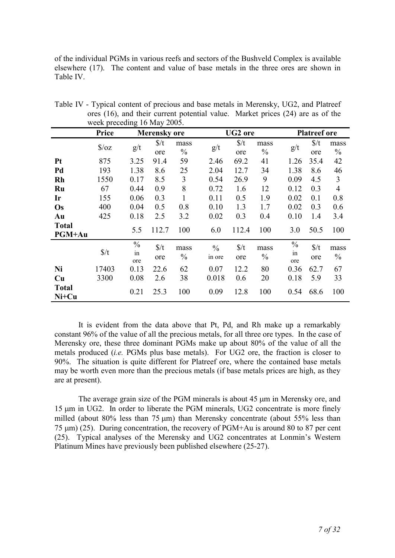of the individual PGMs in various reefs and sectors of the Bushveld Complex is available elsewhere (17). The content and value of base metals in the three ores are shown in Table IV.

|                         | week preceding to $\log_2 2000$ . |                            |                        |                       |                         |                        |                       |                            |                      |                       |
|-------------------------|-----------------------------------|----------------------------|------------------------|-----------------------|-------------------------|------------------------|-----------------------|----------------------------|----------------------|-----------------------|
|                         | Price                             |                            | <b>Merensky</b> ore    |                       |                         | <b>UG2</b> ore         |                       |                            | <b>Platreef ore</b>  |                       |
|                         | $\sqrt{$}$ /0Z                    | g/t                        | $\frac{\pi}{4}$<br>ore | mass<br>$\frac{0}{0}$ | g/t                     | $\frac{\xi}{t}$<br>ore | mass<br>$\frac{0}{0}$ | g/t                        | $\frac{f}{f}$<br>ore | mass<br>$\frac{0}{0}$ |
| <b>Pt</b>               | 875                               | 3.25                       | 91.4                   | 59                    | 2.46                    | 69.2                   | 41                    | 1.26                       | 35.4                 | 42                    |
| Pd                      | 193                               | 1.38                       | 8.6                    | 25                    | 2.04                    | 12.7                   | 34                    | 1.38                       | 8.6                  | 46                    |
| <b>Rh</b>               | 1550                              | 0.17                       | 8.5                    | 3                     | 0.54                    | 26.9                   | 9                     | 0.09                       | 4.5                  | $\mathfrak{Z}$        |
| Ru                      | 67                                | 0.44                       | 0.9                    | 8                     | 0.72                    | 1.6                    | 12                    | 0.12                       | 0.3                  | $\overline{4}$        |
| Ir                      | 155                               | 0.06                       | 0.3                    |                       | 0.11                    | 0.5                    | 1.9                   | 0.02                       | 0.1                  | 0.8                   |
| Os                      | 400                               | 0.04                       | 0.5                    | 0.8                   | 0.10                    | 1.3                    | 1.7                   | 0.02                       | 0.3                  | 0.6                   |
| Au                      | 425                               | 0.18                       | 2.5                    | 3.2                   | 0.02                    | 0.3                    | 0.4                   | 0.10                       | 1.4                  | 3.4                   |
| <b>Total</b><br>PGM+Au  |                                   | 5.5                        | 112.7                  | 100                   | 6.0                     | 112.4                  | 100                   | 3.0                        | 50.5                 | 100                   |
|                         | $\frac{\pi}{4}$                   | $\frac{0}{0}$<br>in<br>ore | $\frac{\pi}{4}$<br>ore | mass<br>$\frac{0}{0}$ | $\frac{0}{0}$<br>in ore | $\frac{\pi}{4}$<br>ore | mass<br>$\frac{0}{0}$ | $\frac{0}{0}$<br>in<br>ore | $\frac{f}{f}$<br>ore | mass<br>$\frac{0}{0}$ |
| <b>Ni</b>               | 17403                             | 0.13                       | 22.6                   | 62                    | 0.07                    | 12.2                   | 80                    | 0.36                       | 62.7                 | 67                    |
| Cu                      | 3300                              | 0.08                       | 2.6                    | 38                    | 0.018                   | 0.6                    | 20                    | 0.18                       | 5.9                  | 33                    |
| <b>Total</b><br>$Ni+Cu$ |                                   | 0.21                       | 25.3                   | 100                   | 0.09                    | 12.8                   | 100                   | 0.54                       | 68.6                 | 100                   |

Table IV - Typical content of precious and base metals in Merensky, UG2, and Platreef ores (16), and their current potential value. Market prices (24) are as of the week preceding 16 May 2005.

It is evident from the data above that Pt, Pd, and Rh make up a remarkably constant 96% of the value of all the precious metals, for all three ore types. In the case of Merensky ore, these three dominant PGMs make up about 80% of the value of all the metals produced (*i.e.* PGMs plus base metals). For UG2 ore, the fraction is closer to 90%. The situation is quite different for Platreef ore, where the contained base metals may be worth even more than the precious metals (if base metals prices are high, as they are at present).

The average grain size of the PGM minerals is about 45  $\mu$ m in Merensky ore, and 15 µm in UG2. In order to liberate the PGM minerals, UG2 concentrate is more finely milled (about 80% less than 75  $\mu$ m) than Merensky concentrate (about 55% less than 75  $\mu$ m) (25). During concentration, the recovery of PGM+Au is around 80 to 87 per cent (25). Typical analyses of the Merensky and UG2 concentrates at Lonmin's Western Platinum Mines have previously been published elsewhere (25-27).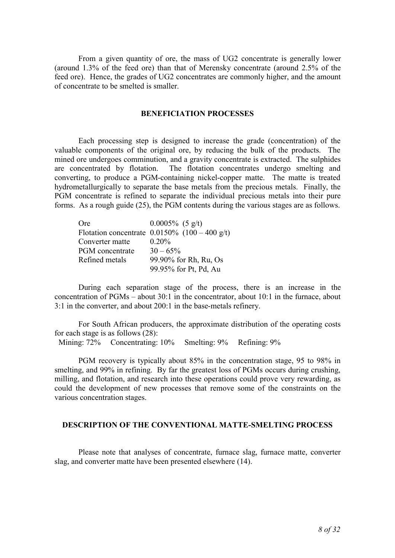From a given quantity of ore, the mass of UG2 concentrate is generally lower (around 1.3% of the feed ore) than that of Merensky concentrate (around 2.5% of the feed ore). Hence, the grades of UG2 concentrates are commonly higher, and the amount of concentrate to be smelted is smaller.

#### **BENEFICIATION PROCESSES**

Each processing step is designed to increase the grade (concentration) of the valuable components of the original ore, by reducing the bulk of the products. The mined ore undergoes comminution, and a gravity concentrate is extracted. The sulphides are concentrated by flotation. The flotation concentrates undergo smelting and converting, to produce a PGM-containing nickel-copper matte. The matte is treated hydrometallurgically to separate the base metals from the precious metals. Finally, the PGM concentrate is refined to separate the individual precious metals into their pure forms. As a rough guide (25), the PGM contents during the various stages are as follows.

| <b>Ore</b>      | $0.0005\%$ (5 g/t)                               |
|-----------------|--------------------------------------------------|
|                 | Flotation concentrate $0.0150\%$ (100 – 400 g/t) |
| Converter matte | $0.20\%$                                         |
| PGM concentrate | $30 - 65\%$                                      |
| Refined metals  | 99.90% for Rh, Ru, Os                            |
|                 | 99.95% for Pt, Pd, Au                            |

During each separation stage of the process, there is an increase in the concentration of PGMs – about 30:1 in the concentrator, about 10:1 in the furnace, about 3:1 in the converter, and about 200:1 in the base-metals refinery.

For South African producers, the approximate distribution of the operating costs for each stage is as follows (28):

Mining: 72% Concentrating: 10% Smelting: 9% Refining: 9%

PGM recovery is typically about 85% in the concentration stage, 95 to 98% in smelting, and 99% in refining. By far the greatest loss of PGMs occurs during crushing, milling, and flotation, and research into these operations could prove very rewarding, as could the development of new processes that remove some of the constraints on the various concentration stages.

## **DESCRIPTION OF THE CONVENTIONAL MATTE-SMELTING PROCESS**

Please note that analyses of concentrate, furnace slag, furnace matte, converter slag, and converter matte have been presented elsewhere (14).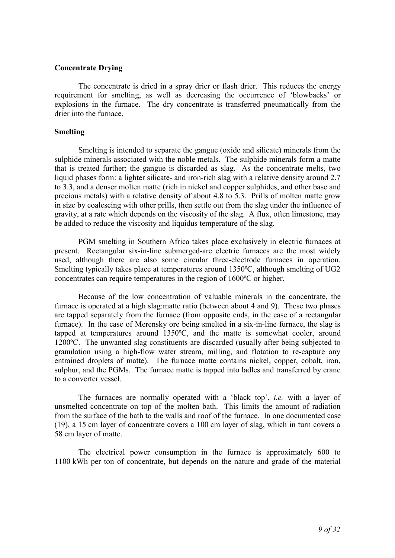# **Concentrate Drying**

The concentrate is dried in a spray drier or flash drier. This reduces the energy requirement for smelting, as well as decreasing the occurrence of 'blowbacks' or explosions in the furnace. The dry concentrate is transferred pneumatically from the drier into the furnace.

## **Smelting**

Smelting is intended to separate the gangue (oxide and silicate) minerals from the sulphide minerals associated with the noble metals. The sulphide minerals form a matte that is treated further; the gangue is discarded as slag. As the concentrate melts, two liquid phases form: a lighter silicate- and iron-rich slag with a relative density around 2.7 to 3.3, and a denser molten matte (rich in nickel and copper sulphides, and other base and precious metals) with a relative density of about 4.8 to 5.3. Prills of molten matte grow in size by coalescing with other prills, then settle out from the slag under the influence of gravity, at a rate which depends on the viscosity of the slag. A flux, often limestone, may be added to reduce the viscosity and liquidus temperature of the slag.

PGM smelting in Southern Africa takes place exclusively in electric furnaces at present. Rectangular six-in-line submerged-arc electric furnaces are the most widely used, although there are also some circular three-electrode furnaces in operation. Smelting typically takes place at temperatures around 1350ºC, although smelting of UG2 concentrates can require temperatures in the region of 1600ºC or higher.

Because of the low concentration of valuable minerals in the concentrate, the furnace is operated at a high slag:matte ratio (between about 4 and 9). These two phases are tapped separately from the furnace (from opposite ends, in the case of a rectangular furnace). In the case of Merensky ore being smelted in a six-in-line furnace, the slag is tapped at temperatures around 1350ºC, and the matte is somewhat cooler, around 1200ºC. The unwanted slag constituents are discarded (usually after being subjected to granulation using a high-flow water stream, milling, and flotation to re-capture any entrained droplets of matte). The furnace matte contains nickel, copper, cobalt, iron, sulphur, and the PGMs. The furnace matte is tapped into ladles and transferred by crane to a converter vessel.

The furnaces are normally operated with a 'black top', *i.e.* with a layer of unsmelted concentrate on top of the molten bath. This limits the amount of radiation from the surface of the bath to the walls and roof of the furnace. In one documented case (19), a 15 cm layer of concentrate covers a 100 cm layer of slag, which in turn covers a 58 cm layer of matte.

The electrical power consumption in the furnace is approximately 600 to 1100 kWh per ton of concentrate, but depends on the nature and grade of the material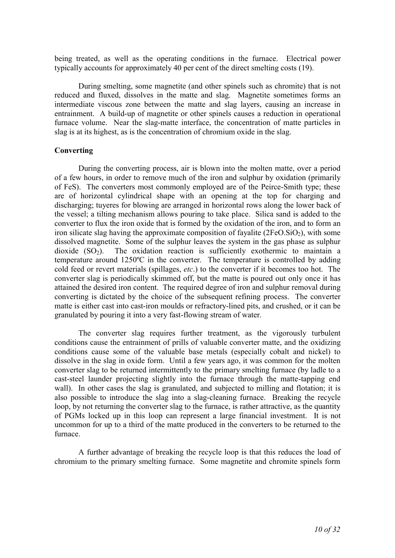being treated, as well as the operating conditions in the furnace. Electrical power typically accounts for approximately 40 per cent of the direct smelting costs (19).

During smelting, some magnetite (and other spinels such as chromite) that is not reduced and fluxed, dissolves in the matte and slag. Magnetite sometimes forms an intermediate viscous zone between the matte and slag layers, causing an increase in entrainment. A build-up of magnetite or other spinels causes a reduction in operational furnace volume. Near the slag-matte interface, the concentration of matte particles in slag is at its highest, as is the concentration of chromium oxide in the slag.

## **Converting**

During the converting process, air is blown into the molten matte, over a period of a few hours, in order to remove much of the iron and sulphur by oxidation (primarily of FeS). The converters most commonly employed are of the Peirce-Smith type; these are of horizontal cylindrical shape with an opening at the top for charging and discharging; tuyeres for blowing are arranged in horizontal rows along the lower back of the vessel; a tilting mechanism allows pouring to take place. Silica sand is added to the converter to flux the iron oxide that is formed by the oxidation of the iron, and to form an iron silicate slag having the approximate composition of fayalite  $(2FeO.SiO<sub>2</sub>)$ , with some dissolved magnetite. Some of the sulphur leaves the system in the gas phase as sulphur dioxide  $(SO<sub>2</sub>)$ . The oxidation reaction is sufficiently exothermic to maintain a temperature around 1250ºC in the converter. The temperature is controlled by adding cold feed or revert materials (spillages, *etc*.) to the converter if it becomes too hot. The converter slag is periodically skimmed off, but the matte is poured out only once it has attained the desired iron content. The required degree of iron and sulphur removal during converting is dictated by the choice of the subsequent refining process. The converter matte is either cast into cast-iron moulds or refractory-lined pits, and crushed, or it can be granulated by pouring it into a very fast-flowing stream of water.

The converter slag requires further treatment, as the vigorously turbulent conditions cause the entrainment of prills of valuable converter matte, and the oxidizing conditions cause some of the valuable base metals (especially cobalt and nickel) to dissolve in the slag in oxide form. Until a few years ago, it was common for the molten converter slag to be returned intermittently to the primary smelting furnace (by ladle to a cast-steel launder projecting slightly into the furnace through the matte-tapping end wall). In other cases the slag is granulated, and subjected to milling and flotation; it is also possible to introduce the slag into a slag-cleaning furnace. Breaking the recycle loop, by not returning the converter slag to the furnace, is rather attractive, as the quantity of PGMs locked up in this loop can represent a large financial investment. It is not uncommon for up to a third of the matte produced in the converters to be returned to the furnace.

A further advantage of breaking the recycle loop is that this reduces the load of chromium to the primary smelting furnace. Some magnetite and chromite spinels form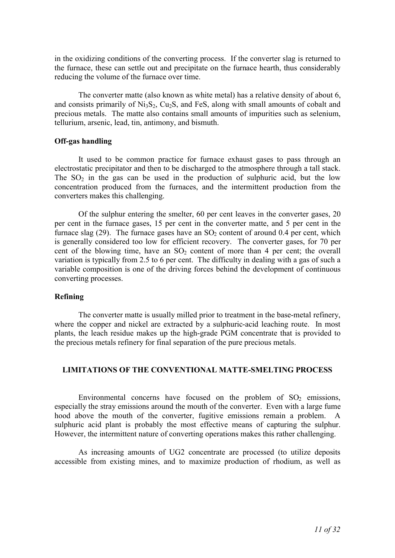in the oxidizing conditions of the converting process. If the converter slag is returned to the furnace, these can settle out and precipitate on the furnace hearth, thus considerably reducing the volume of the furnace over time.

The converter matte (also known as white metal) has a relative density of about 6, and consists primarily of  $Ni_3S_2$ ,  $Cu_2S$ , and FeS, along with small amounts of cobalt and precious metals. The matte also contains small amounts of impurities such as selenium, tellurium, arsenic, lead, tin, antimony, and bismuth.

## **Off-gas handling**

It used to be common practice for furnace exhaust gases to pass through an electrostatic precipitator and then to be discharged to the atmosphere through a tall stack. The  $SO<sub>2</sub>$  in the gas can be used in the production of sulphuric acid, but the low concentration produced from the furnaces, and the intermittent production from the converters makes this challenging.

Of the sulphur entering the smelter, 60 per cent leaves in the converter gases, 20 per cent in the furnace gases, 15 per cent in the converter matte, and 5 per cent in the furnace slag  $(29)$ . The furnace gases have an  $SO<sub>2</sub>$  content of around 0.4 per cent, which is generally considered too low for efficient recovery. The converter gases, for 70 per cent of the blowing time, have an  $SO<sub>2</sub>$  content of more than 4 per cent; the overall variation is typically from 2.5 to 6 per cent. The difficulty in dealing with a gas of such a variable composition is one of the driving forces behind the development of continuous converting processes.

#### **Refining**

The converter matte is usually milled prior to treatment in the base-metal refinery, where the copper and nickel are extracted by a sulphuric-acid leaching route. In most plants, the leach residue makes up the high-grade PGM concentrate that is provided to the precious metals refinery for final separation of the pure precious metals.

# **LIMITATIONS OF THE CONVENTIONAL MATTE-SMELTING PROCESS**

Environmental concerns have focused on the problem of  $SO<sub>2</sub>$  emissions, especially the stray emissions around the mouth of the converter. Even with a large fume hood above the mouth of the converter, fugitive emissions remain a problem. A sulphuric acid plant is probably the most effective means of capturing the sulphur. However, the intermittent nature of converting operations makes this rather challenging.

As increasing amounts of UG2 concentrate are processed (to utilize deposits accessible from existing mines, and to maximize production of rhodium, as well as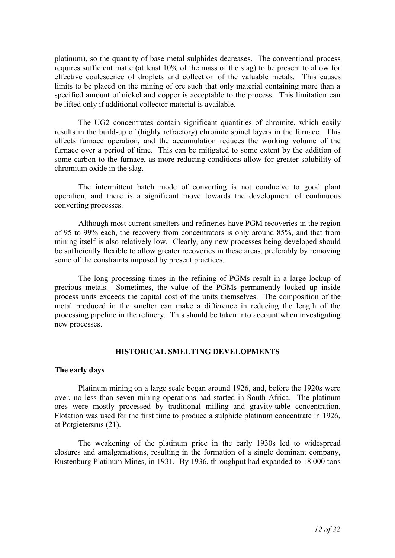platinum), so the quantity of base metal sulphides decreases. The conventional process requires sufficient matte (at least 10% of the mass of the slag) to be present to allow for effective coalescence of droplets and collection of the valuable metals. This causes limits to be placed on the mining of ore such that only material containing more than a specified amount of nickel and copper is acceptable to the process. This limitation can be lifted only if additional collector material is available.

The UG2 concentrates contain significant quantities of chromite, which easily results in the build-up of (highly refractory) chromite spinel layers in the furnace. This affects furnace operation, and the accumulation reduces the working volume of the furnace over a period of time. This can be mitigated to some extent by the addition of some carbon to the furnace, as more reducing conditions allow for greater solubility of chromium oxide in the slag.

The intermittent batch mode of converting is not conducive to good plant operation, and there is a significant move towards the development of continuous converting processes.

Although most current smelters and refineries have PGM recoveries in the region of 95 to 99% each, the recovery from concentrators is only around 85%, and that from mining itself is also relatively low. Clearly, any new processes being developed should be sufficiently flexible to allow greater recoveries in these areas, preferably by removing some of the constraints imposed by present practices.

The long processing times in the refining of PGMs result in a large lockup of precious metals. Sometimes, the value of the PGMs permanently locked up inside process units exceeds the capital cost of the units themselves. The composition of the metal produced in the smelter can make a difference in reducing the length of the processing pipeline in the refinery. This should be taken into account when investigating new processes.

#### **HISTORICAL SMELTING DEVELOPMENTS**

#### **The early days**

Platinum mining on a large scale began around 1926, and, before the 1920s were over, no less than seven mining operations had started in South Africa. The platinum ores were mostly processed by traditional milling and gravity-table concentration. Flotation was used for the first time to produce a sulphide platinum concentrate in 1926, at Potgietersrus (21).

The weakening of the platinum price in the early 1930s led to widespread closures and amalgamations, resulting in the formation of a single dominant company, Rustenburg Platinum Mines, in 1931. By 1936, throughput had expanded to 18 000 tons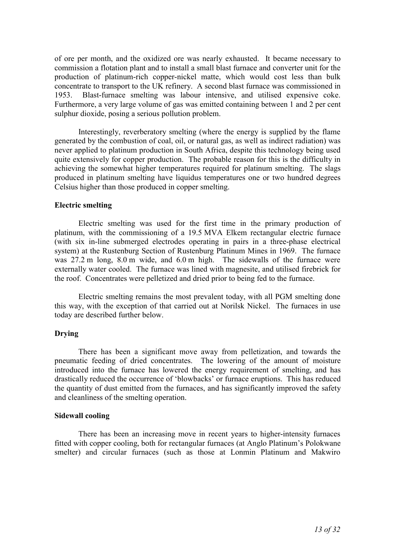of ore per month, and the oxidized ore was nearly exhausted. It became necessary to commission a flotation plant and to install a small blast furnace and converter unit for the production of platinum-rich copper-nickel matte, which would cost less than bulk concentrate to transport to the UK refinery. A second blast furnace was commissioned in 1953. Blast-furnace smelting was labour intensive, and utilised expensive coke. Furthermore, a very large volume of gas was emitted containing between 1 and 2 per cent sulphur dioxide, posing a serious pollution problem.

Interestingly, reverberatory smelting (where the energy is supplied by the flame generated by the combustion of coal, oil, or natural gas, as well as indirect radiation) was never applied to platinum production in South Africa, despite this technology being used quite extensively for copper production. The probable reason for this is the difficulty in achieving the somewhat higher temperatures required for platinum smelting. The slags produced in platinum smelting have liquidus temperatures one or two hundred degrees Celsius higher than those produced in copper smelting.

## **Electric smelting**

Electric smelting was used for the first time in the primary production of platinum, with the commissioning of a 19.5 MVA Elkem rectangular electric furnace (with six in-line submerged electrodes operating in pairs in a three-phase electrical system) at the Rustenburg Section of Rustenburg Platinum Mines in 1969. The furnace was 27.2 m long, 8.0 m wide, and 6.0 m high. The sidewalls of the furnace were externally water cooled. The furnace was lined with magnesite, and utilised firebrick for the roof. Concentrates were pelletized and dried prior to being fed to the furnace.

Electric smelting remains the most prevalent today, with all PGM smelting done this way, with the exception of that carried out at Norilsk Nickel. The furnaces in use today are described further below.

# **Drying**

There has been a significant move away from pelletization, and towards the pneumatic feeding of dried concentrates. The lowering of the amount of moisture introduced into the furnace has lowered the energy requirement of smelting, and has drastically reduced the occurrence of 'blowbacks' or furnace eruptions. This has reduced the quantity of dust emitted from the furnaces, and has significantly improved the safety and cleanliness of the smelting operation.

## **Sidewall cooling**

There has been an increasing move in recent years to higher-intensity furnaces fitted with copper cooling, both for rectangular furnaces (at Anglo Platinum's Polokwane smelter) and circular furnaces (such as those at Lonmin Platinum and Makwiro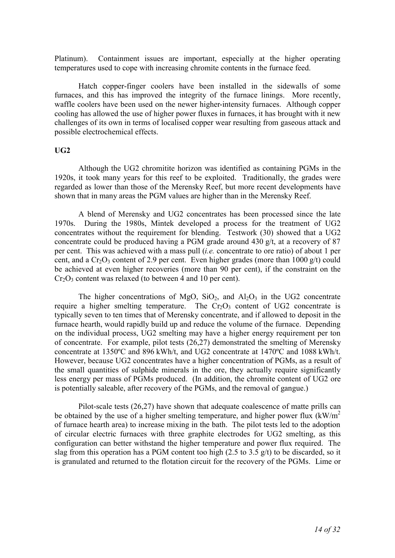Platinum). Containment issues are important, especially at the higher operating temperatures used to cope with increasing chromite contents in the furnace feed.

Hatch copper-finger coolers have been installed in the sidewalls of some furnaces, and this has improved the integrity of the furnace linings. More recently, waffle coolers have been used on the newer higher-intensity furnaces. Although copper cooling has allowed the use of higher power fluxes in furnaces, it has brought with it new challenges of its own in terms of localised copper wear resulting from gaseous attack and possible electrochemical effects.

#### **UG2**

Although the UG2 chromitite horizon was identified as containing PGMs in the 1920s, it took many years for this reef to be exploited. Traditionally, the grades were regarded as lower than those of the Merensky Reef, but more recent developments have shown that in many areas the PGM values are higher than in the Merensky Reef.

A blend of Merensky and UG2 concentrates has been processed since the late 1970s. During the 1980s, Mintek developed a process for the treatment of UG2 concentrates without the requirement for blending. Testwork (30) showed that a UG2 concentrate could be produced having a PGM grade around 430 g/t, at a recovery of 87 per cent. This was achieved with a mass pull (*i.e.* concentrate to ore ratio) of about 1 per cent, and a  $Cr_2O_3$  content of 2.9 per cent. Even higher grades (more than 1000 g/t) could be achieved at even higher recoveries (more than 90 per cent), if the constraint on the  $Cr_2O_3$  content was relaxed (to between 4 and 10 per cent).

The higher concentrations of MgO,  $SiO<sub>2</sub>$ , and  $Al<sub>2</sub>O<sub>3</sub>$  in the UG2 concentrate require a higher smelting temperature. The  $Cr_2O_3$  content of UG2 concentrate is typically seven to ten times that of Merensky concentrate, and if allowed to deposit in the furnace hearth, would rapidly build up and reduce the volume of the furnace. Depending on the individual process, UG2 smelting may have a higher energy requirement per ton of concentrate. For example, pilot tests (26,27) demonstrated the smelting of Merensky concentrate at 1350ºC and 896 kWh/t, and UG2 concentrate at 1470ºC and 1088 kWh/t. However, because UG2 concentrates have a higher concentration of PGMs, as a result of the small quantities of sulphide minerals in the ore, they actually require significantly less energy per mass of PGMs produced. (In addition, the chromite content of UG2 ore is potentially saleable, after recovery of the PGMs, and the removal of gangue.)

Pilot-scale tests (26,27) have shown that adequate coalescence of matte prills can be obtained by the use of a higher smelting temperature, and higher power flux  $(kW/m<sup>2</sup>)$ of furnace hearth area) to increase mixing in the bath. The pilot tests led to the adoption of circular electric furnaces with three graphite electrodes for UG2 smelting, as this configuration can better withstand the higher temperature and power flux required. The slag from this operation has a PGM content too high (2.5 to 3.5 g/t) to be discarded, so it is granulated and returned to the flotation circuit for the recovery of the PGMs. Lime or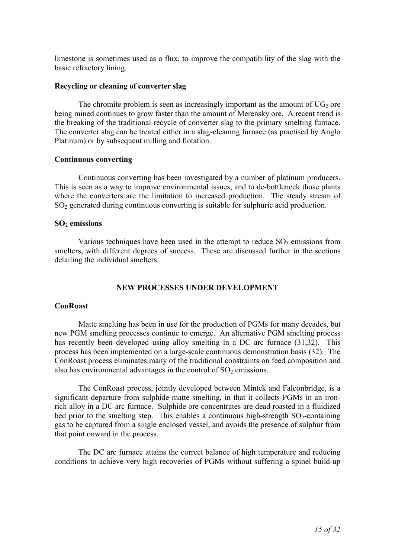limestone is sometimes used as a flux, to improve the compatibility of the slag with the basic refractory lining.

## **Recycling or cleaning of converter slag**

The chromite problem is seen as increasingly important as the amount of  $UG_2$  ore being mined continues to grow faster than the amount of Merensky ore. A recent trend is the breaking of the traditional recycle of converter slag to the primary smelting furnace. The converter slag can be treated either in a slag-cleaning furnace (as practised by Anglo Platinum) or by subsequent milling and flotation.

## **Continuous converting**

Continuous converting has been investigated by a number of platinum producers. This is seen as a way to improve environmental issues, and to de-bottleneck those plants where the converters are the limitation to increased production. The steady stream of SO<sup>2</sup> generated during continuous converting is suitable for sulphuric acid production.

## **SO2 emissions**

Various techniques have been used in the attempt to reduce  $SO<sub>2</sub>$  emissions from smelters, with different degrees of success. These are discussed further in the sections detailing the individual smelters.

## **NEW PROCESSES UNDER DEVELOPMENT**

# **ConRoast**

Matte smelting has been in use for the production of PGMs for many decades, but new PGM smelting processes continue to emerge. An alternative PGM smelting process has recently been developed using alloy smelting in a DC arc furnace (31,32). This process has been implemented on a large-scale continuous demonstration basis (32). The ConRoast process eliminates many of the traditional constraints on feed composition and also has environmental advantages in the control of  $SO<sub>2</sub>$  emissions.

The ConRoast process, jointly developed between Mintek and Falconbridge, is a significant departure from sulphide matte smelting, in that it collects PGMs in an ironrich alloy in a DC arc furnace. Sulphide ore concentrates are dead-roasted in a fluidized bed prior to the smelting step. This enables a continuous high-strength  $SO_2$ -containing gas to be captured from a single enclosed vessel, and avoids the presence of sulphur from that point onward in the process.

The DC arc furnace attains the correct balance of high temperature and reducing conditions to achieve very high recoveries of PGMs without suffering a spinel build-up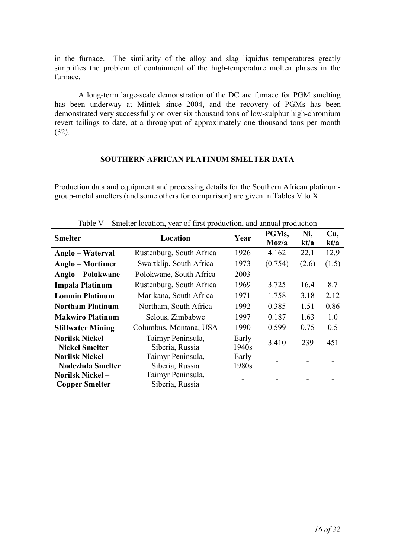in the furnace. The similarity of the alloy and slag liquidus temperatures greatly simplifies the problem of containment of the high-temperature molten phases in the furnace.

A long-term large-scale demonstration of the DC arc furnace for PGM smelting has been underway at Mintek since 2004, and the recovery of PGMs has been demonstrated very successfully on over six thousand tons of low-sulphur high-chromium revert tailings to date, at a throughput of approximately one thousand tons per month (32).

# **SOUTHERN AFRICAN PLATINUM SMELTER DATA**

Production data and equipment and processing details for the Southern African platinumgroup-metal smelters (and some others for comparison) are given in Tables V to X.

| <b>Smelter</b>                                   | Location                             | Year                       | PGMs,<br>Moz/a | Ni,<br>kt/a | Cu,<br>kt/a |
|--------------------------------------------------|--------------------------------------|----------------------------|----------------|-------------|-------------|
| Anglo – Waterval                                 | Rustenburg, South Africa             | 1926                       | 4.162          | 22.1        | 12.9        |
| Anglo – Mortimer                                 | Swartklip, South Africa              | 1973                       | (0.754)        | (2.6)       | (1.5)       |
| Anglo – Polokwane                                | Polokwane, South Africa              | 2003                       |                |             |             |
| <b>Impala Platinum</b>                           | Rustenburg, South Africa             | 1969                       | 3.725          | 16.4        | 8.7         |
| <b>Lonmin Platinum</b>                           | Marikana, South Africa               | 1971                       | 1.758          | 3.18        | 2.12        |
| <b>Northam Platinum</b>                          | Northam, South Africa                | 1992                       | 0.385          | 1.51        | 0.86        |
| <b>Makwiro Platinum</b>                          | Selous, Zimbabwe                     | 1997                       | 0.187          | 1.63        | 1.0         |
| <b>Stillwater Mining</b>                         | Columbus, Montana, USA               | 1990                       | 0.599          | 0.75        | 0.5         |
| <b>Norilsk Nickel –</b><br><b>Nickel Smelter</b> | Taimyr Peninsula,<br>Siberia, Russia | Early<br>1940 <sub>s</sub> | 3.410          | 239         | 451         |
| Norilsk Nickel-                                  | Taimyr Peninsula,                    | Early                      |                |             |             |
| <b>Nadezhda Smelter</b>                          | Siberia, Russia                      | 1980s                      |                |             |             |
| <b>Norilsk Nickel-</b>                           | Taimyr Peninsula,                    |                            |                |             |             |
| <b>Copper Smelter</b>                            | Siberia, Russia                      |                            |                |             |             |

Table V – Smelter location, year of first production, and annual production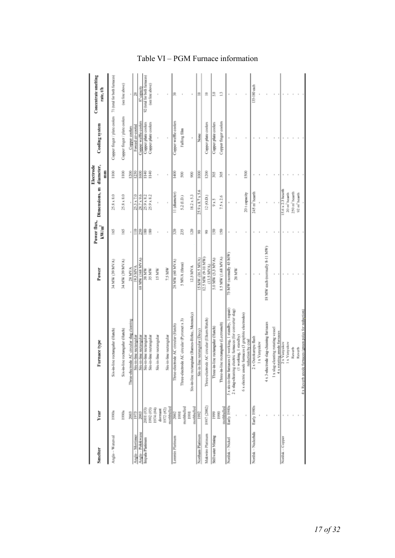| Smelter            | Year                               | Furnace type                                                                       | Power                             | kW/m <sup>2</sup> | Power flux, Dimensions, m diameter,          | Electrode       | Cooling system                                             | Concentrate smelting<br>rate, t/h |
|--------------------|------------------------------------|------------------------------------------------------------------------------------|-----------------------------------|-------------------|----------------------------------------------|-----------------|------------------------------------------------------------|-----------------------------------|
|                    |                                    |                                                                                    |                                   |                   |                                              | Ē               |                                                            |                                   |
| Anglo - Waterval   | 1990s                              | Six-in-line rectangular (Hatch)                                                    | 34 MW (39 MVA)                    | 8                 | $25.8 \times 8.0$                            | $\frac{8}{100}$ | Copper finger / plate coolers 71 (total for both furnaces) |                                   |
|                    | 1990s                              | Six-in-line rectangular (Hatch)                                                    | 54 MW (39 MVA)                    | 165               | 25.8 x 8.0                                   | $\geq$          | Copper finger / plate coolers                              | (see line above)                  |
|                    | 2003                               | Three-electrode AC circular slag cleaning                                          | 28 MVA                            |                   |                                              | 1200            | Copper coolers                                             |                                   |
| Anglo-Mortimer     | 1973                               | Six-in-line rectangular                                                            | <b>NAJN S61</b>                   | $\bar{=}$         | 25.3 x 7.0                                   | 1250            | Forced air-cooled                                          | 晑                                 |
| Anglo-Polokwane    | 2003                               |                                                                                    | MW (168 MVA)<br>8                 | 250               | 28.7 x 9.6                                   | 1600            | Copper waffle coolers                                      | 87 capacity                       |
| Impala Platinum    | 2001 (#3)                          | Six-in-line rectangular<br>Six-in-line rectangular<br>Six-in-line rectangular      | 38 MW                             | 80                | 25.9 x 8.2                                   | 1140            | Copper plate coolers                                       | 92 (total for both furnaces)      |
|                    | (\$8) 7661                         |                                                                                    | 35 MW                             | 30                | 25.9 x 8.2                                   | $\frac{3}{2}$   | Copper plate coolers                                       | (see line above)                  |
|                    | (44) 479                           | Six-in-line rectangular                                                            | 15 MW                             |                   |                                              |                 |                                                            |                                   |
|                    | mothballed<br>1972 (#2)<br>dormant | Six-in-line rectangular                                                            | 7.5 MW                            |                   |                                              |                 |                                                            |                                   |
| Lonmin Platinum    | 2002                               | Three-electrode AC circular (Hatch)                                                | 28 MW (60 MVA)                    | 320               | I (diameter)                                 | 导               | Copper waffle coolers                                      | 黑                                 |
|                    | mothballed<br>1991                 | Three-electrode AC circular (Pyromet x 3)                                          | 5 MVA (three)                     | 235               | 5.2 (LD.)                                    | g               | Falling film                                               |                                   |
|                    | mothballed<br>1991                 | Six-in-line rectangular (Barnes-Birlec, Merensky)                                  | I25 MVA                           | 120               | $18.2 \times 5.3$                            | g               |                                                            |                                   |
| Northam Platinum   | 1992                               | Six-in-line rectangular (Davy)                                                     | <b>IS MW (16.5 MVA)</b>           | ŝ,                | 25.9 x 8.7 x 5.6                             | $\frac{8}{2}$   | ğ                                                          | Ξ                                 |
| Makwiro Platinum   | 1997 (2002)                        | Three-electrode AC circular (Elkem/Hatch)                                          | 12.5 MW (9-10 MW)<br>$(13.5$ MVA) | S,                | (2(0.0.1)                                    | 1200            | Copper plate coolers                                       | Ξ                                 |
| Stillwater Mining  | 1999                               | Three-in-line rectangular (Hatch)                                                  | 5.0 MW (5.3 MVA)                  | 50                | 9 x 5                                        | 2015            | Copper plate coolers                                       | R                                 |
|                    | mothballed<br>1990                 | Three-in-line rectangular (Lectromelt)                                             | 1.5 MW (1.68 MVA)                 | 150               | $7.5 \times 2.6$                             | 翯               | Copper finger coolers                                      |                                   |
| Norilsk-Nickel     | Early 1940s                        | 5 x six-in-line furnaces (3 working, 1 standby, 1 repair)                          | 75 MW (normally 45 MW             |                   |                                              |                 |                                                            |                                   |
|                    |                                    | electric furnaces (for converter slag)<br>working, 1 standby)<br>2 x slag-cleaning | 20 MW                             |                   |                                              |                 |                                                            |                                   |
|                    | ı                                  | 6 x electric anode furnaces (3 graphite electrodes)<br>reduction by coal           |                                   |                   | 20 t capacity                                | 1500            |                                                            |                                   |
| Norilsk - Nadezhda | Early 1980s                        | 2 x Outokumpu flash                                                                |                                   |                   | 245 m <sup>2</sup> hearth                    |                 |                                                            | 135-180 each                      |
|                    |                                    | 1 x Vanyukov                                                                       |                                   |                   |                                              |                 |                                                            |                                   |
|                    |                                    | 4 x 3-electrode slag-cleaning furnaces                                             | 18 MW cach (normally 8-11 MW)     |                   |                                              |                 |                                                            |                                   |
|                    |                                    | 1 x slag-cleaning rotating vessel                                                  |                                   |                   |                                              |                 |                                                            |                                   |
|                    |                                    | 4 x rotating anode furnaces                                                        |                                   |                   |                                              |                 |                                                            |                                   |
| Norilsk - Copper   |                                    | 2 x Vanyuloov<br>1 x Vanyukov                                                      |                                   |                   | 5.6 x 2.3 hearth<br>20 m <sup>2</sup> hearth |                 |                                                            |                                   |
|                    |                                    | Reverb                                                                             |                                   |                   | 250 m <sup>2</sup> hearth                    |                 |                                                            |                                   |
|                    |                                    | Reverb                                                                             |                                   |                   | 92 m <sup>2</sup> hearth                     |                 |                                                            |                                   |
|                    |                                    | 4 x Reverb anode furnaces (green poles for reduction)                              |                                   |                   |                                              |                 |                                                            |                                   |

# Table VI – PGM Furnace information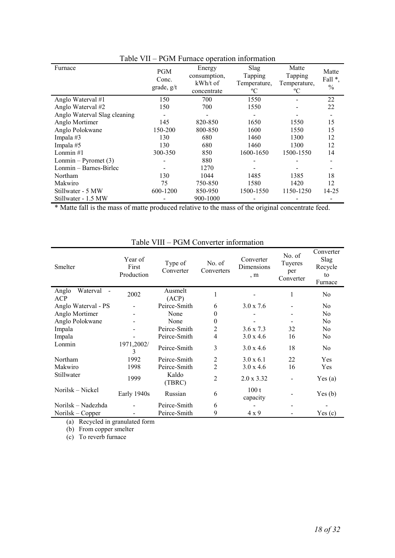| $10010 + 11$                 |                                   | I OM I WHERE OPERATON INFORMATION                 |                                                       |                                               |                          |
|------------------------------|-----------------------------------|---------------------------------------------------|-------------------------------------------------------|-----------------------------------------------|--------------------------|
| Furnace                      | <b>PGM</b><br>Conc.<br>grade, g/t | Energy<br>consumption,<br>kWh/t of<br>concentrate | <b>Slag</b><br>Tapping<br>Temperature,<br>$\rm ^{o}C$ | Matte<br><b>Tapping</b><br>Temperature,<br>°C | Matte<br>Fall *,<br>$\%$ |
| Anglo Waterval #1            | 150                               | 700                                               | 1550                                                  |                                               | 22                       |
| Anglo Waterval #2            | 150                               | 700                                               | 1550                                                  |                                               | 22                       |
| Anglo Waterval Slag cleaning |                                   |                                                   |                                                       |                                               |                          |
| Anglo Mortimer               | 145                               | 820-850                                           | 1650                                                  | 1550                                          | 15                       |
| Anglo Polokwane              | 150-200                           | 800-850                                           | 1600                                                  | 1550                                          | 15                       |
| Impala #3                    | 130                               | 680                                               | 1460                                                  | 1300                                          | 12                       |
| Impala #5                    | 130                               | 680                                               | 1460                                                  | 1300                                          | 12                       |
| Lonmin# $1$                  | 300-350                           | 850                                               | 1600-1650                                             | 1500-1550                                     | 14                       |
| Lonmin – Pyromet $(3)$       |                                   | 880                                               |                                                       |                                               |                          |
| Lonmin – Barnes-Birlec       |                                   | 1270                                              |                                                       |                                               |                          |
| Northam                      | 130                               | 1044                                              | 1485                                                  | 1385                                          | 18                       |
| Makwiro                      | 75                                | 750-850                                           | 1580                                                  | 1420                                          | 12                       |
| Stillwater - 5 MW            | 600-1200                          | 850-950                                           | 1500-1550                                             | 1150-1250                                     | 14-25                    |
| Stillwater - 1.5 MW          |                                   | 900-1000                                          |                                                       |                                               |                          |

Table VII – PGM Furnace operation information

\* Matte fall is the mass of matte produced relative to the mass of the original concentrate feed.

| <b>Smelter</b>                  | Year of<br>First<br>Production | Type of<br>Converter | No. of<br>Converters | Converter<br>Dimensions<br>, m | No. of<br>Tuyeres<br>per<br>Converter | Converter<br>Slag<br>Recycle<br>to<br>Furnace |
|---------------------------------|--------------------------------|----------------------|----------------------|--------------------------------|---------------------------------------|-----------------------------------------------|
| Anglo<br>Waterval<br><b>ACP</b> | 2002                           | Ausmelt<br>(ACP)     | 1                    |                                | 1                                     | N <sub>0</sub>                                |
| Anglo Waterval - PS             |                                | Peirce-Smith         | 6                    | $3.0 \times 7.6$               |                                       | N <sub>0</sub>                                |
| Anglo Mortimer                  |                                | None                 | $\theta$             |                                |                                       | No.                                           |
| Anglo Polokwane                 |                                | None                 | $\theta$             |                                |                                       | N <sub>0</sub>                                |
| Impala                          |                                | Peirce-Smith         | 2                    | $3.6 \times 7.3$               | 32                                    | No                                            |
| Impala                          |                                | Peirce-Smith         | 4                    | $3.0 \times 4.6$               | 16                                    | N <sub>0</sub>                                |
| Lonmin                          | 1971,2002/<br>3                | Peirce-Smith         | 3                    | $3.0 \times 4.6$               | 18                                    | N <sub>0</sub>                                |
| Northam                         | 1992                           | Peirce-Smith         | $\overline{c}$       | $3.0 \times 6.1$               | 22                                    | Yes                                           |
| Makwiro                         | 1998                           | Peirce-Smith         | $\overline{2}$       | $3.0 \times 4.6$               | 16                                    | Yes                                           |
| Stillwater                      | 1999                           | Kaldo<br>(TBRC)      | $\overline{c}$       | $2.0 \times 3.32$              |                                       | Yes(a)                                        |
| Norilsk – Nickel                | Early 1940s                    | Russian              | 6                    | 100t<br>capacity               |                                       | Yes(b)                                        |
| Norilsk – Nadezhda              |                                | Peirce-Smith         | 6                    |                                |                                       |                                               |
| Norilsk – Copper                |                                | Peirce-Smith         | 9                    | $4 \times 9$                   |                                       | Yes(c)                                        |

# Table VIII – PGM Converter information

(a) Recycled in granulated form

(b) From copper smelter

 $(c)$  To reverb furnace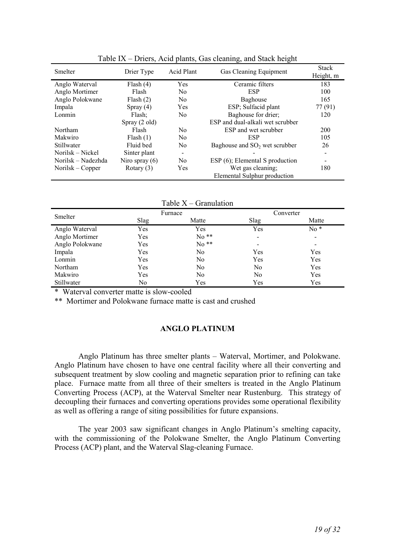| Smelter            | Drier Type       | Acid Plant     | Gas Cleaning Equipment           | <b>Stack</b><br>Height, m |
|--------------------|------------------|----------------|----------------------------------|---------------------------|
| Anglo Waterval     | Flash $(4)$      | Yes            | Ceramic filters                  | 183                       |
| Anglo Mortimer     | Flash            | N <sub>0</sub> | <b>ESP</b>                       | 100                       |
| Anglo Polokwane    | Plash(2)         | N <sub>0</sub> | Baghouse                         | 165                       |
| Impala             | Spray $(4)$      | Yes            | ESP; Sulfacid plant              | 77 (91)                   |
| Lonmin             | Flash;           | N <sub>0</sub> | Baghouse for drier;              | 120                       |
|                    | Spray (2 old)    |                | ESP and dual-alkali wet scrubber |                           |
| Northam            | Flash            | N <sub>0</sub> | ESP and wet scrubber             | 200                       |
| Makwiro            | Flash(1)         | N <sub>0</sub> | <b>ESP</b>                       | 105                       |
| Stillwater         | Fluid bed        | No             | Baghouse and $SO2$ wet scrubber  | 26                        |
| Norilsk – Nickel   | Sinter plant     | -              |                                  |                           |
| Norilsk – Nadezhda | Niro spray $(6)$ | N <sub>0</sub> | ESP (6); Elemental S production  |                           |
| Norilsk – Copper   | Rotary $(3)$     | Yes            | Wet gas cleaning;                | 180                       |
|                    |                  |                | Elemental Sulphur production     |                           |

Table IX – Driers, Acid plants, Gas cleaning, and Stack height

| Table $X -$ Granulation |
|-------------------------|
|-------------------------|

| Smelter         |      | Furnace | Converter                |                          |  |  |
|-----------------|------|---------|--------------------------|--------------------------|--|--|
|                 | Slag | Matte   | Slag                     | Matte                    |  |  |
| Anglo Waterval  | Yes  | Yes     | Yes                      | $No*$                    |  |  |
| Anglo Mortimer  | Yes  | $No**$  | $\overline{\phantom{0}}$ | $\overline{\phantom{a}}$ |  |  |
| Anglo Polokwane | Yes  | $No**$  |                          | $\,$                     |  |  |
| Impala          | Yes  | No      | Yes                      | Yes                      |  |  |
| Lonmin          | Yes  | No      | Yes                      | Yes                      |  |  |
| Northam         | Yes  | No      | No                       | Yes                      |  |  |
| Makwiro         | Yes  | No      | No                       | Yes                      |  |  |
| Stillwater      | No   | Yes     | Yes                      | Yes                      |  |  |

\* Waterval converter matte is slow-cooled

\*\* Mortimer and Polokwane furnace matte is cast and crushed

# **ANGLO PLATINUM**

Anglo Platinum has three smelter plants – Waterval, Mortimer, and Polokwane. Anglo Platinum have chosen to have one central facility where all their converting and subsequent treatment by slow cooling and magnetic separation prior to refining can take place. Furnace matte from all three of their smelters is treated in the Anglo Platinum Converting Process (ACP), at the Waterval Smelter near Rustenburg. This strategy of decoupling their furnaces and converting operations provides some operational flexibility as well as offering a range of siting possibilities for future expansions.

The year 2003 saw significant changes in Anglo Platinum's smelting capacity, with the commissioning of the Polokwane Smelter, the Anglo Platinum Converting Process (ACP) plant, and the Waterval Slag-cleaning Furnace.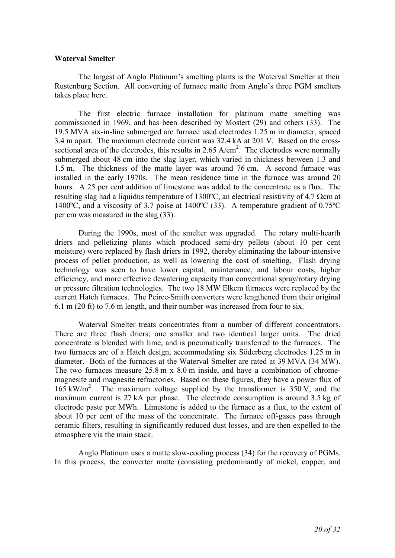## **Waterval Smelter**

The largest of Anglo Platinum's smelting plants is the Waterval Smelter at their Rustenburg Section. All converting of furnace matte from Anglo's three PGM smelters takes place here.

The first electric furnace installation for platinum matte smelting was commissioned in 1969, and has been described by Mostert (29) and others (33). The 19.5 MVA six-in-line submerged arc furnace used electrodes 1.25 m in diameter, spaced 3.4 m apart. The maximum electrode current was 32.4 kA at 201 V. Based on the crosssectional area of the electrodes, this results in 2.65 A/cm<sup>2</sup>. The electrodes were normally submerged about 48 cm into the slag layer, which varied in thickness between 1.3 and 1.5 m. The thickness of the matte layer was around 76 cm. A second furnace was installed in the early 1970s. The mean residence time in the furnace was around 20 hours. A 25 per cent addition of limestone was added to the concentrate as a flux. The resulting slag had a liquidus temperature of 1300 $^{\circ}$ C, an electrical resistivity of 4.7 Qcm at 1400ºC, and a viscosity of 3.7 poise at 1400ºC (33). A temperature gradient of 0.75ºC per cm was measured in the slag (33).

During the 1990s, most of the smelter was upgraded. The rotary multi-hearth driers and pelletizing plants which produced semi-dry pellets (about 10 per cent moisture) were replaced by flash driers in 1992, thereby eliminating the labour-intensive process of pellet production, as well as lowering the cost of smelting. Flash drying technology was seen to have lower capital, maintenance, and labour costs, higher efficiency, and more effective dewatering capacity than conventional spray/rotary drying or pressure filtration technologies. The two 18 MW Elkem furnaces were replaced by the current Hatch furnaces. The Peirce-Smith converters were lengthened from their original 6.1 m (20 ft) to 7.6 m length, and their number was increased from four to six.

Waterval Smelter treats concentrates from a number of different concentrators. There are three flash driers; one smaller and two identical larger units. The dried concentrate is blended with lime, and is pneumatically transferred to the furnaces. The two furnaces are of a Hatch design, accommodating six Söderberg electrodes 1.25 m in diameter. Both of the furnaces at the Waterval Smelter are rated at 39 MVA (34 MW). The two furnaces measure 25.8 m x 8.0 m inside, and have a combination of chromemagnesite and magnesite refractories. Based on these figures, they have a power flux of 165 kW/m<sup>2</sup>. The maximum voltage supplied by the transformer is  $350$  V, and the maximum current is 27 kA per phase. The electrode consumption is around 3.5 kg of electrode paste per MWh. Limestone is added to the furnace as a flux, to the extent of about 10 per cent of the mass of the concentrate. The furnace off-gases pass through ceramic filters, resulting in significantly reduced dust losses, and are then expelled to the atmosphere via the main stack.

Anglo Platinum uses a matte slow-cooling process (34) for the recovery of PGMs. In this process, the converter matte (consisting predominantly of nickel, copper, and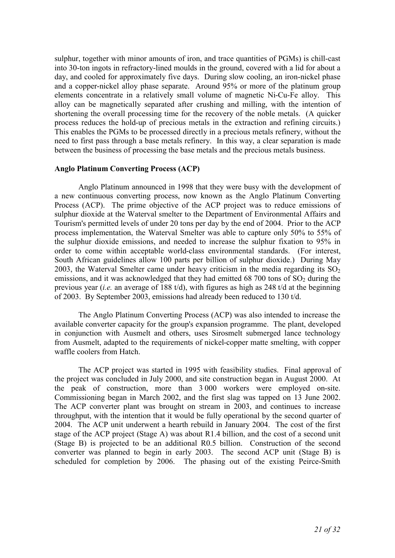sulphur, together with minor amounts of iron, and trace quantities of PGMs) is chill-cast into 30-ton ingots in refractory-lined moulds in the ground, covered with a lid for about a day, and cooled for approximately five days. During slow cooling, an iron-nickel phase and a copper-nickel alloy phase separate. Around 95% or more of the platinum group elements concentrate in a relatively small volume of magnetic Ni-Cu-Fe alloy. This alloy can be magnetically separated after crushing and milling, with the intention of shortening the overall processing time for the recovery of the noble metals. (A quicker process reduces the hold-up of precious metals in the extraction and refining circuits.) This enables the PGMs to be processed directly in a precious metals refinery, without the need to first pass through a base metals refinery. In this way, a clear separation is made between the business of processing the base metals and the precious metals business.

## **Anglo Platinum Converting Process (ACP)**

Anglo Platinum announced in 1998 that they were busy with the development of a new continuous converting process, now known as the Anglo Platinum Converting Process (ACP). The prime objective of the ACP project was to reduce emissions of sulphur dioxide at the Waterval smelter to the Department of Environmental Affairs and Tourism's permitted levels of under 20 tons per day by the end of 2004. Prior to the ACP process implementation, the Waterval Smelter was able to capture only 50% to 55% of the sulphur dioxide emissions, and needed to increase the sulphur fixation to 95% in order to come within acceptable world-class environmental standards. (For interest, South African guidelines allow 100 parts per billion of sulphur dioxide.) During May 2003, the Waterval Smelter came under heavy criticism in the media regarding its  $SO<sub>2</sub>$ emissions, and it was acknowledged that they had emitted  $68\,700$  tons of  $SO<sub>2</sub>$  during the previous year (*i.e.* an average of 188 t/d), with figures as high as 248 t/d at the beginning of 2003. By September 2003, emissions had already been reduced to 130 t/d.

The Anglo Platinum Converting Process (ACP) was also intended to increase the available converter capacity for the group's expansion programme. The plant, developed in conjunction with Ausmelt and others, uses Sirosmelt submerged lance technology from Ausmelt, adapted to the requirements of nickel-copper matte smelting, with copper waffle coolers from Hatch.

The ACP project was started in 1995 with feasibility studies. Final approval of the project was concluded in July 2000, and site construction began in August 2000. At the peak of construction, more than 3 000 workers were employed on-site. Commissioning began in March 2002, and the first slag was tapped on 13 June 2002. The ACP converter plant was brought on stream in 2003, and continues to increase throughput, with the intention that it would be fully operational by the second quarter of 2004. The ACP unit underwent a hearth rebuild in January 2004. The cost of the first stage of the ACP project (Stage A) was about R1.4 billion, and the cost of a second unit (Stage B) is projected to be an additional R0.5 billion. Construction of the second converter was planned to begin in early 2003. The second ACP unit (Stage B) is scheduled for completion by 2006. The phasing out of the existing Peirce-Smith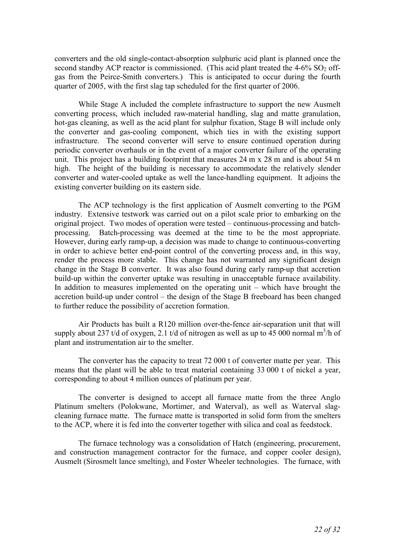converters and the old single-contact-absorption sulphuric acid plant is planned once the second standby ACP reactor is commissioned. (This acid plant treated the  $4-6\%$  SO<sub>2</sub> offgas from the Peirce-Smith converters.) This is anticipated to occur during the fourth quarter of 2005, with the first slag tap scheduled for the first quarter of 2006.

While Stage A included the complete infrastructure to support the new Ausmelt converting process, which included raw-material handling, slag and matte granulation, hot-gas cleaning, as well as the acid plant for sulphur fixation, Stage B will include only the converter and gas-cooling component, which ties in with the existing support infrastructure. The second converter will serve to ensure continued operation during periodic converter overhauls or in the event of a major converter failure of the operating unit. This project has a building footprint that measures 24 m x 28 m and is about 54 m high. The height of the building is necessary to accommodate the relatively slender converter and water-cooled uptake as well the lance-handling equipment. It adjoins the existing converter building on its eastern side.

The ACP technology is the first application of Ausmelt converting to the PGM industry. Extensive testwork was carried out on a pilot scale prior to embarking on the original project. Two modes of operation were tested – continuous-processing and batchprocessing. Batch-processing was deemed at the time to be the most appropriate. However, during early ramp-up, a decision was made to change to continuous-converting in order to achieve better end-point control of the converting process and, in this way, render the process more stable. This change has not warranted any significant design change in the Stage B converter. It was also found during early ramp-up that accretion build-up within the converter uptake was resulting in unacceptable furnace availability. In addition to measures implemented on the operating unit – which have brought the accretion build-up under control – the design of the Stage B freeboard has been changed to further reduce the possibility of accretion formation.

Air Products has built a R120 million over-the-fence air-separation unit that will supply about 237 t/d of oxygen, 2.1 t/d of nitrogen as well as up to 45 000 normal  $m^3/h$  of plant and instrumentation air to the smelter.

The converter has the capacity to treat 72 000 t of converter matte per year. This means that the plant will be able to treat material containing 33 000 t of nickel a year, corresponding to about 4 million ounces of platinum per year.

The converter is designed to accept all furnace matte from the three Anglo Platinum smelters (Polokwane, Mortimer, and Waterval), as well as Waterval slagcleaning furnace matte. The furnace matte is transported in solid form from the smelters to the ACP, where it is fed into the converter together with silica and coal as feedstock.

The furnace technology was a consolidation of Hatch (engineering, procurement, and construction management contractor for the furnace, and copper cooler design), Ausmelt (Sirosmelt lance smelting), and Foster Wheeler technologies. The furnace, with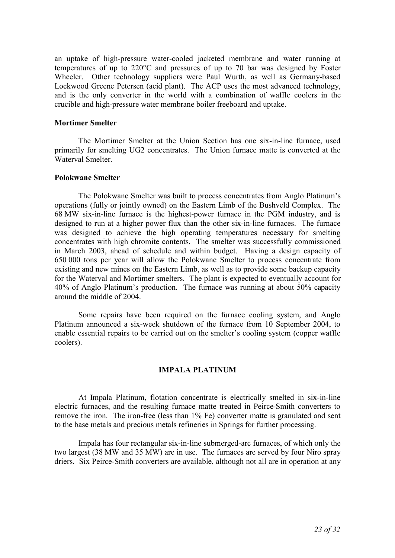an uptake of high-pressure water-cooled jacketed membrane and water running at temperatures of up to 220°C and pressures of up to 70 bar was designed by Foster Wheeler. Other technology suppliers were Paul Wurth, as well as Germany-based Lockwood Greene Petersen (acid plant). The ACP uses the most advanced technology, and is the only converter in the world with a combination of waffle coolers in the crucible and high-pressure water membrane boiler freeboard and uptake.

## **Mortimer Smelter**

The Mortimer Smelter at the Union Section has one six-in-line furnace, used primarily for smelting UG2 concentrates. The Union furnace matte is converted at the Waterval Smelter.

## **Polokwane Smelter**

The Polokwane Smelter was built to process concentrates from Anglo Platinum's operations (fully or jointly owned) on the Eastern Limb of the Bushveld Complex. The 68 MW six-in-line furnace is the highest-power furnace in the PGM industry, and is designed to run at a higher power flux than the other six-in-line furnaces. The furnace was designed to achieve the high operating temperatures necessary for smelting concentrates with high chromite contents. The smelter was successfully commissioned in March 2003, ahead of schedule and within budget. Having a design capacity of 650 000 tons per year will allow the Polokwane Smelter to process concentrate from existing and new mines on the Eastern Limb, as well as to provide some backup capacity for the Waterval and Mortimer smelters. The plant is expected to eventually account for 40% of Anglo Platinum's production. The furnace was running at about 50% capacity around the middle of 2004.

Some repairs have been required on the furnace cooling system, and Anglo Platinum announced a six-week shutdown of the furnace from 10 September 2004, to enable essential repairs to be carried out on the smelter's cooling system (copper waffle coolers).

## **IMPALA PLATINUM**

At Impala Platinum, flotation concentrate is electrically smelted in six-in-line electric furnaces, and the resulting furnace matte treated in Peirce-Smith converters to remove the iron. The iron-free (less than 1% Fe) converter matte is granulated and sent to the base metals and precious metals refineries in Springs for further processing.

Impala has four rectangular six-in-line submerged-arc furnaces, of which only the two largest (38 MW and 35 MW) are in use. The furnaces are served by four Niro spray driers. Six Peirce-Smith converters are available, although not all are in operation at any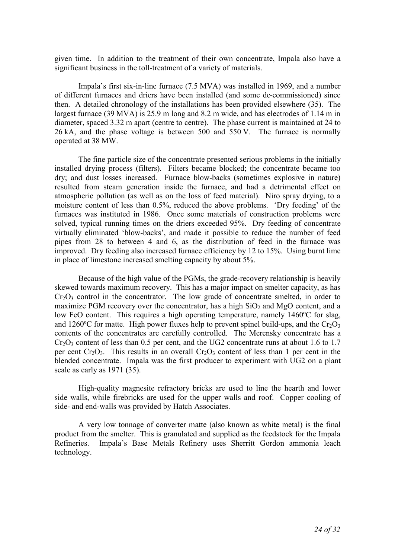given time. In addition to the treatment of their own concentrate, Impala also have a significant business in the toll-treatment of a variety of materials.

Impala's first six-in-line furnace (7.5 MVA) was installed in 1969, and a number of different furnaces and driers have been installed (and some de-commissioned) since then. A detailed chronology of the installations has been provided elsewhere (35). The largest furnace (39 MVA) is 25.9 m long and 8.2 m wide, and has electrodes of 1.14 m in diameter, spaced 3.32 m apart (centre to centre). The phase current is maintained at 24 to 26 kA, and the phase voltage is between 500 and 550 V. The furnace is normally operated at 38 MW.

The fine particle size of the concentrate presented serious problems in the initially installed drying process (filters). Filters became blocked; the concentrate became too dry; and dust losses increased. Furnace blow-backs (sometimes explosive in nature) resulted from steam generation inside the furnace, and had a detrimental effect on atmospheric pollution (as well as on the loss of feed material). Niro spray drying, to a moisture content of less than 0.5%, reduced the above problems. 'Dry feeding' of the furnaces was instituted in 1986. Once some materials of construction problems were solved, typical running times on the driers exceeded 95%. Dry feeding of concentrate virtually eliminated 'blow-backs', and made it possible to reduce the number of feed pipes from 28 to between 4 and 6, as the distribution of feed in the furnace was improved. Dry feeding also increased furnace efficiency by 12 to 15%. Using burnt lime in place of limestone increased smelting capacity by about 5%.

Because of the high value of the PGMs, the grade-recovery relationship is heavily skewed towards maximum recovery. This has a major impact on smelter capacity, as has  $Cr<sub>2</sub>O<sub>3</sub>$  control in the concentrator. The low grade of concentrate smelted, in order to maximize PGM recovery over the concentrator, has a high  $SiO<sub>2</sub>$  and MgO content, and a low FeO content. This requires a high operating temperature, namely 1460ºC for slag, and 1260 $^{\circ}$ C for matte. High power fluxes help to prevent spinel build-ups, and the Cr<sub>2</sub>O<sub>3</sub> contents of the concentrates are carefully controlled. The Merensky concentrate has a  $Cr_2O_3$  content of less than 0.5 per cent, and the UG2 concentrate runs at about 1.6 to 1.7 per cent  $Cr_2O_3$ . This results in an overall  $Cr_2O_3$  content of less than 1 per cent in the blended concentrate. Impala was the first producer to experiment with UG2 on a plant scale as early as 1971 (35).

High-quality magnesite refractory bricks are used to line the hearth and lower side walls, while firebricks are used for the upper walls and roof. Copper cooling of side- and end-walls was provided by Hatch Associates.

A very low tonnage of converter matte (also known as white metal) is the final product from the smelter. This is granulated and supplied as the feedstock for the Impala Refineries. Impala's Base Metals Refinery uses Sherritt Gordon ammonia leach technology.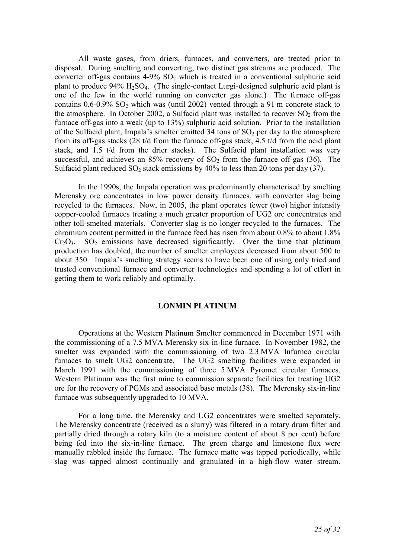All waste gases, from driers, furnaces, and converters, are treated prior to disposal. During smelting and converting, two distinct gas streams are produced. The converter off-gas contains  $4-9\%$  SO<sub>2</sub> which is treated in a conventional sulphuric acid plant to produce  $94\%$  H<sub>2</sub>SO<sub>4</sub>. (The single-contact Lurgi-designed sulphuric acid plant is one of the few in the world running on converter gas alone.) The furnace off-gas contains  $0.6-0.9\%$  SO<sub>2</sub> which was (until 2002) vented through a 91 m concrete stack to the atmosphere. In October 2002, a Sulfacid plant was installed to recover  $SO_2$  from the furnace off-gas into a weak (up to 13%) sulphuric acid solution. Prior to the installation of the Sulfacid plant, Impala's smelter emitted 34 tons of  $SO<sub>2</sub>$  per day to the atmosphere from its off-gas stacks (28 t/d from the furnace off-gas stack, 4.5 t/d from the acid plant stack, and 1.5 t/d from the drier stacks). The Sulfacid plant installation was very successful, and achieves an  $85\%$  recovery of  $SO<sub>2</sub>$  from the furnace off-gas (36). The Sulfacid plant reduced  $SO_2$  stack emissions by 40% to less than 20 tons per day (37).

In the 1990s, the Impala operation was predominantly characterised by smelting Merensky ore concentrates in low power density furnaces, with converter slag being recycled to the furnaces. Now, in 2005, the plant operates fewer (two) higher intensity copper-cooled furnaces treating a much greater proportion of UG2 ore concentrates and other toll-smelted materials. Converter slag is no longer recycled to the furnaces. The chromium content permitted in the furnace feed has risen from about 0.8% to about 1.8%  $Cr<sub>2</sub>O<sub>3</sub>$ . SO<sub>2</sub> emissions have decreased significantly. Over the time that platinum production has doubled, the number of smelter employees decreased from about 500 to about 350. Impala's smelting strategy seems to have been one of using only tried and trusted conventional furnace and converter technologies and spending a lot of effort in getting them to work reliably and optimally.

## **LONMIN PLATINUM**

Operations at the Western Platinum Smelter commenced in December 1971 with the commissioning of a 7.5 MVA Merensky six-in-line furnace. In November 1982, the smelter was expanded with the commissioning of two 2.3 MVA Infurnco circular furnaces to smelt UG2 concentrate. The UG2 smelting facilities were expanded in March 1991 with the commissioning of three 5 MVA Pyromet circular furnaces. Western Platinum was the first mine to commission separate facilities for treating UG2 ore for the recovery of PGMs and associated base metals (38). The Merensky six-in-line furnace was subsequently upgraded to 10 MVA.

For a long time, the Merensky and UG2 concentrates were smelted separately. The Merensky concentrate (received as a slurry) was filtered in a rotary drum filter and partially dried through a rotary kiln (to a moisture content of about 8 per cent) before being fed into the six-in-line furnace. The green charge and limestone flux were manually rabbled inside the furnace. The furnace matte was tapped periodically, while slag was tapped almost continually and granulated in a high-flow water stream.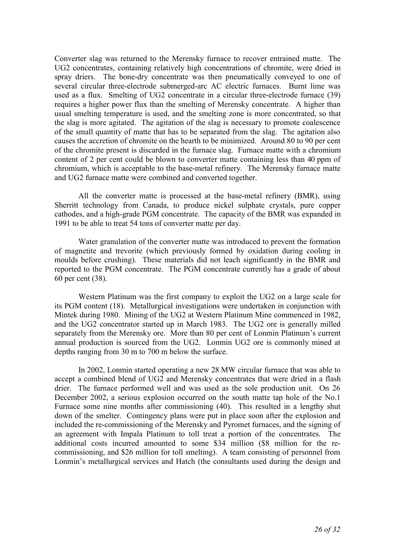Converter slag was returned to the Merensky furnace to recover entrained matte. The UG2 concentrates, containing relatively high concentrations of chromite, were dried in spray driers. The bone-dry concentrate was then pneumatically conveyed to one of several circular three-electrode submerged-arc AC electric furnaces. Burnt lime was used as a flux. Smelting of UG2 concentrate in a circular three-electrode furnace (39) requires a higher power flux than the smelting of Merensky concentrate. A higher than usual smelting temperature is used, and the smelting zone is more concentrated, so that the slag is more agitated. The agitation of the slag is necessary to promote coalescence of the small quantity of matte that has to be separated from the slag. The agitation also causes the accretion of chromite on the hearth to be minimized. Around 80 to 90 per cent of the chromite present is discarded in the furnace slag. Furnace matte with a chromium content of 2 per cent could be blown to converter matte containing less than 40 ppm of chromium, which is acceptable to the base-metal refinery. The Merensky furnace matte and UG2 furnace matte were combined and converted together.

All the converter matte is processed at the base-metal refinery (BMR), using Sherritt technology from Canada, to produce nickel sulphate crystals, pure copper cathodes, and a high-grade PGM concentrate. The capacity of the BMR was expanded in 1991 to be able to treat 54 tons of converter matte per day.

Water granulation of the converter matte was introduced to prevent the formation of magnetite and trevorite (which previously formed by oxidation during cooling in moulds before crushing). These materials did not leach significantly in the BMR and reported to the PGM concentrate. The PGM concentrate currently has a grade of about 60 per cent (38).

Western Platinum was the first company to exploit the UG2 on a large scale for its PGM content (18). Metallurgical investigations were undertaken in conjunction with Mintek during 1980. Mining of the UG2 at Western Platinum Mine commenced in 1982, and the UG2 concentrator started up in March 1983. The UG2 ore is generally milled separately from the Merensky ore. More than 80 per cent of Lonmin Platinum's current annual production is sourced from the UG2. Lonmin UG2 ore is commonly mined at depths ranging from 30 m to 700 m below the surface.

In 2002, Lonmin started operating a new 28 MW circular furnace that was able to accept a combined blend of UG2 and Merensky concentrates that were dried in a flash drier. The furnace performed well and was used as the sole production unit. On 26 December 2002, a serious explosion occurred on the south matte tap hole of the No.1 Furnace some nine months after commissioning (40). This resulted in a lengthy shut down of the smelter. Contingency plans were put in place soon after the explosion and included the re-commissioning of the Merensky and Pyromet furnaces, and the signing of an agreement with Impala Platinum to toll treat a portion of the concentrates. The additional costs incurred amounted to some \$34 million (\$8 million for the recommissioning, and \$26 million for toll smelting). A team consisting of personnel from Lonmin's metallurgical services and Hatch (the consultants used during the design and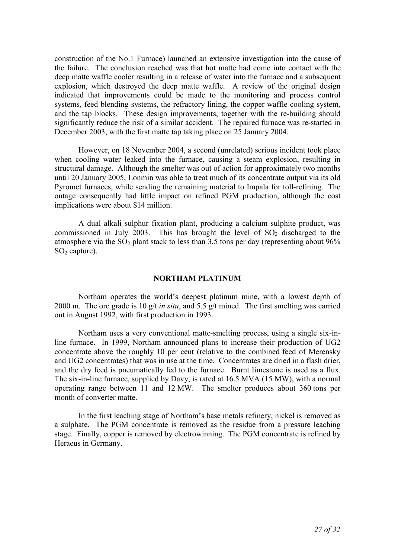construction of the No.1 Furnace) launched an extensive investigation into the cause of the failure. The conclusion reached was that hot matte had come into contact with the deep matte waffle cooler resulting in a release of water into the furnace and a subsequent explosion, which destroyed the deep matte waffle. A review of the original design indicated that improvements could be made to the monitoring and process control systems, feed blending systems, the refractory lining, the copper waffle cooling system, and the tap blocks. These design improvements, together with the re-building should significantly reduce the risk of a similar accident. The repaired furnace was re-started in December 2003, with the first matte tap taking place on 25 January 2004.

However, on 18 November 2004, a second (unrelated) serious incident took place when cooling water leaked into the furnace, causing a steam explosion, resulting in structural damage. Although the smelter was out of action for approximately two months until 20 January 2005, Lonmin was able to treat much of its concentrate output via its old Pyromet furnaces, while sending the remaining material to Impala for toll-refining. The outage consequently had little impact on refined PGM production, although the cost implications were about \$14 million.

A dual alkali sulphur fixation plant, producing a calcium sulphite product, was commissioned in July 2003. This has brought the level of  $SO<sub>2</sub>$  discharged to the atmosphere via the  $SO_2$  plant stack to less than 3.5 tons per day (representing about  $96\%$ )  $SO<sub>2</sub>$  capture).

## **NORTHAM PLATINUM**

Northam operates the world's deepest platinum mine, with a lowest depth of 2000 m. The ore grade is 10 g/t *in situ*, and 5.5 g/t mined. The first smelting was carried out in August 1992, with first production in 1993.

Northam uses a very conventional matte-smelting process, using a single six-inline furnace. In 1999, Northam announced plans to increase their production of UG2 concentrate above the roughly 10 per cent (relative to the combined feed of Merensky and UG2 concentrates) that was in use at the time. Concentrates are dried in a flash drier, and the dry feed is pneumatically fed to the furnace. Burnt limestone is used as a flux. The six-in-line furnace, supplied by Davy, is rated at 16.5 MVA (15 MW), with a normal operating range between 11 and 12 MW. The smelter produces about 360 tons per month of converter matte.

In the first leaching stage of Northam's base metals refinery, nickel is removed as a sulphate. The PGM concentrate is removed as the residue from a pressure leaching stage. Finally, copper is removed by electrowinning. The PGM concentrate is refined by Heraeus in Germany.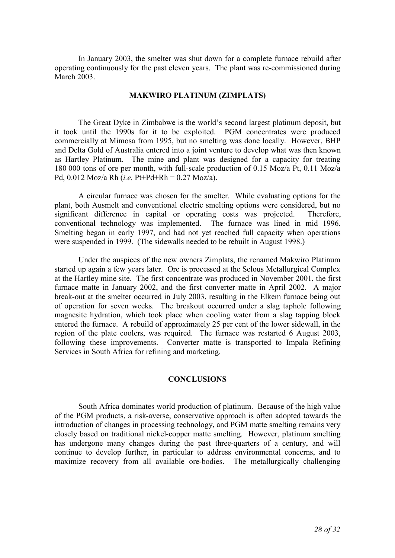In January 2003, the smelter was shut down for a complete furnace rebuild after operating continuously for the past eleven years. The plant was re-commissioned during March 2003.

#### **MAKWIRO PLATINUM (ZIMPLATS)**

The Great Dyke in Zimbabwe is the world's second largest platinum deposit, but it took until the 1990s for it to be exploited. PGM concentrates were produced commercially at Mimosa from 1995, but no smelting was done locally. However, BHP and Delta Gold of Australia entered into a joint venture to develop what was then known as Hartley Platinum. The mine and plant was designed for a capacity for treating 180 000 tons of ore per month, with full-scale production of 0.15 Moz/a Pt, 0.11 Moz/a Pd, 0.012 Moz/a Rh (*i.e.* Pt+Pd+Rh = 0.27 Moz/a).

A circular furnace was chosen for the smelter. While evaluating options for the plant, both Ausmelt and conventional electric smelting options were considered, but no significant difference in capital or operating costs was projected. Therefore, conventional technology was implemented. The furnace was lined in mid 1996. Smelting began in early 1997, and had not yet reached full capacity when operations were suspended in 1999. (The sidewalls needed to be rebuilt in August 1998.)

Under the auspices of the new owners Zimplats, the renamed Makwiro Platinum started up again a few years later. Ore is processed at the Selous Metallurgical Complex at the Hartley mine site. The first concentrate was produced in November 2001, the first furnace matte in January 2002, and the first converter matte in April 2002. A major break-out at the smelter occurred in July 2003, resulting in the Elkem furnace being out of operation for seven weeks. The breakout occurred under a slag taphole following magnesite hydration, which took place when cooling water from a slag tapping block entered the furnace. A rebuild of approximately 25 per cent of the lower sidewall, in the region of the plate coolers, was required. The furnace was restarted 6 August 2003, following these improvements. Converter matte is transported to Impala Refining Services in South Africa for refining and marketing.

## **CONCLUSIONS**

South Africa dominates world production of platinum. Because of the high value of the PGM products, a risk-averse, conservative approach is often adopted towards the introduction of changes in processing technology, and PGM matte smelting remains very closely based on traditional nickel-copper matte smelting. However, platinum smelting has undergone many changes during the past three-quarters of a century, and will continue to develop further, in particular to address environmental concerns, and to maximize recovery from all available ore-bodies. The metallurgically challenging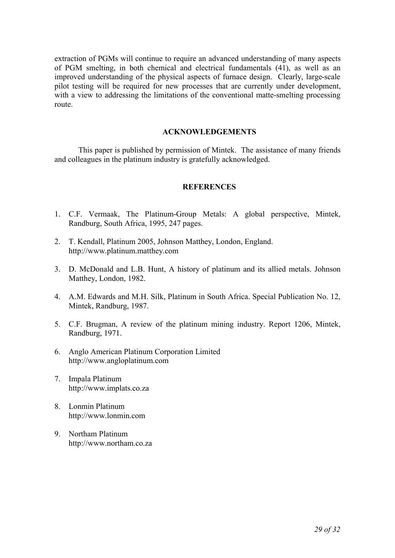extraction of PGMs will continue to require an advanced understanding of many aspects of PGM smelting, in both chemical and electrical fundamentals (41), as well as an improved understanding of the physical aspects of furnace design. Clearly, large-scale pilot testing will be required for new processes that are currently under development, with a view to addressing the limitations of the conventional matte-smelting processing route.

#### **ACKNOWLEDGEMENTS**

This paper is published by permission of Mintek. The assistance of many friends and colleagues in the platinum industry is gratefully acknowledged.

## **REFERENCES**

- 1. C.F. Vermaak, The Platinum-Group Metals: A global perspective, Mintek, Randburg, South Africa, 1995, 247 pages.
- 2. T. Kendall, Platinum 2005, Johnson Matthey, London, England. http://www.platinum.matthey.com
- 3. D. McDonald and L.B. Hunt, A history of platinum and its allied metals. Johnson Matthey, London, 1982.
- 4. A.M. Edwards and M.H. Silk, Platinum in South Africa. Special Publication No. 12, Mintek, Randburg, 1987.
- 5. C.F. Brugman, A review of the platinum mining industry. Report 1206, Mintek, Randburg, 1971.
- 6. Anglo American Platinum Corporation Limited http://www.angloplatinum.com
- 7. Impala Platinum http://www.implats.co.za
- 8. Lonmin Platinum http://www.lonmin.com
- 9. Northam Platinum http://www.northam.co.za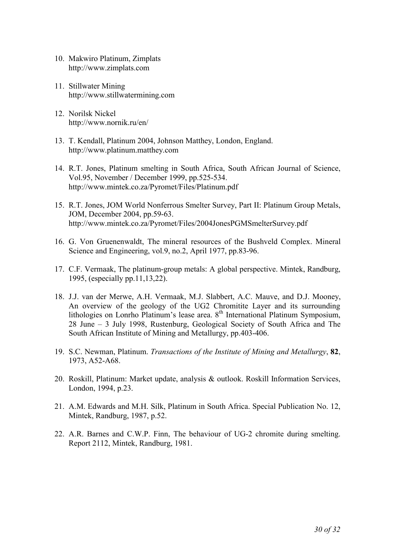- 10. Makwiro Platinum, Zimplats http://www.zimplats.com
- 11. Stillwater Mining http://www.stillwatermining.com
- 12. Norilsk Nickel http://www.nornik.ru/en/
- 13. T. Kendall, Platinum 2004, Johnson Matthey, London, England. http://www.platinum.matthey.com
- 14. R.T. Jones, Platinum smelting in South Africa, South African Journal of Science, Vol.95, November / December 1999, pp.525-534. http://www.mintek.co.za/Pyromet/Files/Platinum.pdf
- 15. R.T. Jones, JOM World Nonferrous Smelter Survey, Part II: Platinum Group Metals, JOM, December 2004, pp.59-63. http://www.mintek.co.za/Pyromet/Files/2004JonesPGMSmelterSurvey.pdf
- 16. G. Von Gruenenwaldt, The mineral resources of the Bushveld Complex. Mineral Science and Engineering, vol.9, no.2, April 1977, pp.83-96.
- 17. C.F. Vermaak, The platinum-group metals: A global perspective. Mintek, Randburg, 1995, (especially pp.11,13,22).
- 18. J.J. van der Merwe, A.H. Vermaak, M.J. Slabbert, A.C. Mauve, and D.J. Mooney, An overview of the geology of the UG2 Chromitite Layer and its surrounding lithologies on Lonrho Platinum's lease area. 8<sup>th</sup> International Platinum Symposium, 28 June – 3 July 1998, Rustenburg, Geological Society of South Africa and The South African Institute of Mining and Metallurgy, pp.403-406.
- 19. S.C. Newman, Platinum. *Transactions of the Institute of Mining and Metallurgy*, **82**, 1973, A52-A68.
- 20. Roskill, Platinum: Market update, analysis & outlook. Roskill Information Services, London, 1994, p.23.
- 21. A.M. Edwards and M.H. Silk, Platinum in South Africa. Special Publication No. 12, Mintek, Randburg, 1987, p.52.
- 22. A.R. Barnes and C.W.P. Finn, The behaviour of UG-2 chromite during smelting. Report 2112, Mintek, Randburg, 1981.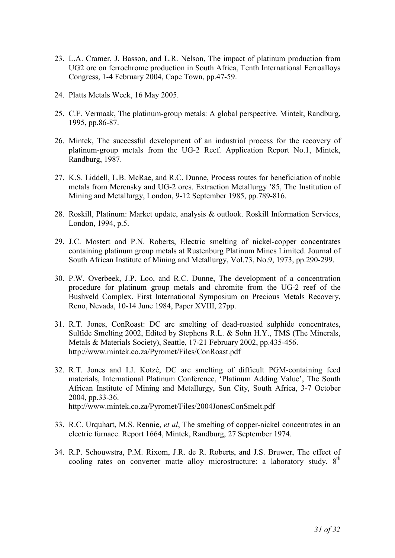- 23. L.A. Cramer, J. Basson, and L.R. Nelson, The impact of platinum production from UG2 ore on ferrochrome production in South Africa, Tenth International Ferroalloys Congress, 1-4 February 2004, Cape Town, pp.47-59.
- 24. Platts Metals Week, 16 May 2005.
- 25. C.F. Vermaak, The platinum-group metals: A global perspective. Mintek, Randburg, 1995, pp.86-87.
- 26. Mintek, The successful development of an industrial process for the recovery of platinum-group metals from the UG-2 Reef. Application Report No.1, Mintek, Randburg, 1987.
- 27. K.S. Liddell, L.B. McRae, and R.C. Dunne, Process routes for beneficiation of noble metals from Merensky and UG-2 ores. Extraction Metallurgy '85, The Institution of Mining and Metallurgy, London, 9-12 September 1985, pp.789-816.
- 28. Roskill, Platinum: Market update, analysis & outlook. Roskill Information Services, London, 1994, p.5.
- 29. J.C. Mostert and P.N. Roberts, Electric smelting of nickel-copper concentrates containing platinum group metals at Rustenburg Platinum Mines Limited. Journal of South African Institute of Mining and Metallurgy, Vol.73, No.9, 1973, pp.290-299.
- 30. P.W. Overbeek, J.P. Loo, and R.C. Dunne, The development of a concentration procedure for platinum group metals and chromite from the UG-2 reef of the Bushveld Complex. First International Symposium on Precious Metals Recovery, Reno, Nevada, 10-14 June 1984, Paper XVIII, 27pp.
- 31. R.T. Jones, ConRoast: DC arc smelting of dead-roasted sulphide concentrates, Sulfide Smelting 2002, Edited by Stephens R.L. & Sohn H.Y., TMS (The Minerals, Metals & Materials Society), Seattle, 17-21 February 2002, pp.435-456. http://www.mintek.co.za/Pyromet/Files/ConRoast.pdf
- 32. R.T. Jones and I.J. Kotzé, DC arc smelting of difficult PGM-containing feed materials, International Platinum Conference, 'Platinum Adding Value', The South African Institute of Mining and Metallurgy, Sun City, South Africa, 3-7 October 2004, pp.33-36. http://www.mintek.co.za/Pyromet/Files/2004JonesConSmelt.pdf
- 33. R.C. Urquhart, M.S. Rennie, *et al*, The smelting of copper-nickel concentrates in an electric furnace. Report 1664, Mintek, Randburg, 27 September 1974.
- 34. R.P. Schouwstra, P.M. Rixom, J.R. de R. Roberts, and J.S. Bruwer, The effect of cooling rates on converter matte alloy microstructure: a laboratory study.  $8<sup>th</sup>$